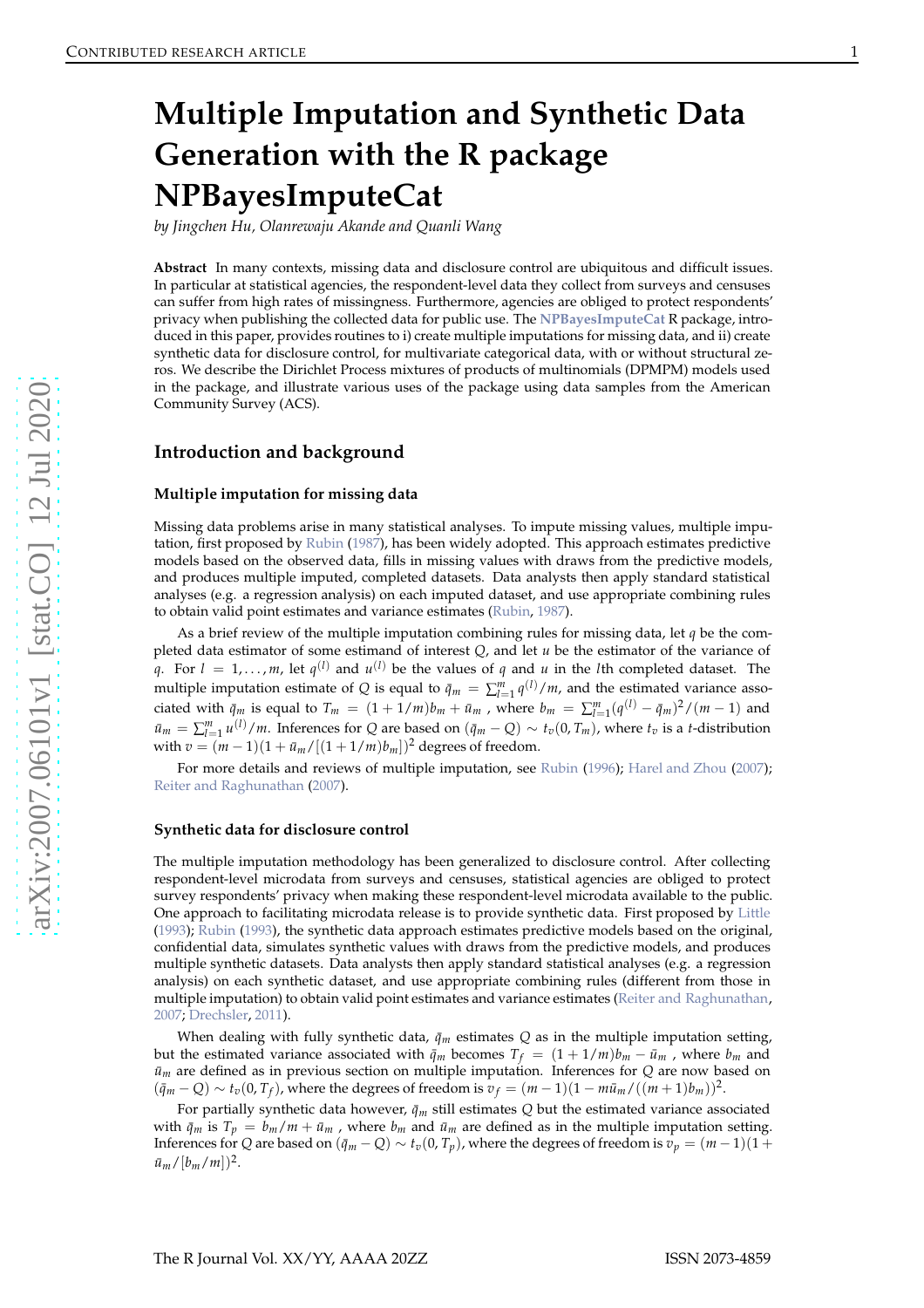# <span id="page-0-0"></span>**Multiple Imputation and Synthetic Data Generation with the R package NPBayesImputeCat**

*by Jingchen Hu, Olanrewaju Akande and Quanli Wang*

**Abstract** In many contexts, missing data and disclosure control are ubiquitous and difficult issues. In particular at statistical agencies, the respondent-level data they collect from surveys and censuses can suffer from high rates of missingness. Furthermore, agencies are obliged to protect respondents' privacy when publishing the collected data for public use. The **[NPBayesImputeCat](https://CRAN.R-project.org/package=NPBayesImputeCat)** R package, introduced in this paper, provides routines to i) create multiple imputations for missing data, and ii) create synthetic data for disclosure control, for multivariate categorical data, with or without structural zeros. We describe the Dirichlet Process mixtures of products of multinomials (DPMPM) models used in the package, and illustrate various uses of the package using data samples from the American Community Survey (ACS).

# **Introduction and background**

#### **Multiple imputation for missing data**

Missing data problems arise in many statistical analyses. To impute missing values, multiple imputation, first proposed by [Rubin](#page-16-0) [\(1987\)](#page-16-0), has been widely adopted. This approach estimates predictive models based on the observed data, fills in missing values with draws from the predictive models, and produces multiple imputed, completed datasets. Data analysts then apply standard statistical analyses (e.g. a regression analysis) on each imputed dataset, and use appropriate combining rules to obtain valid point estimates and variance estimates [\(Rubin](#page-16-0) , [1987\)](#page-16-0).

As a brief review of the multiple imputation combining rules for missing data, let *q* be the completed data estimator of some estimand of interest *Q*, and let *u* be the estimator of the variance of *q*. For  $l = 1, ..., m$ , let  $q^{(l)}$  and  $u^{(l)}$  be the values of *q* and *u* in the *l*th completed dataset. The multiple imputation estimate of *Q* is equal to  $\bar{q}_m = \sum_{l=1}^m q^{(l)} / m$ , and the estimated variance associated with  $\bar{q}_m$  is equal to  $T_m = (1 + 1/m)b_m + \bar{u}_m$ , where  $b_m = \sum_{l=1}^m (q^{(l)} - \bar{q}_m)^2/(m-1)$  and  $\bar{u}_m = \sum_{l=1}^m u^{(l)} / m$ . Inferences for *Q* are based on  $(\bar{q}_m - Q) \sim t_v(0, T_m)$ , where  $t_v$  is a *t*-distribution with  $v = (m-1)(1 + \bar{u}_m /[(1 + 1/m)b_m])^2$  degrees of freedom.

For more details and reviews of multiple imputation, see [Rubin](#page-16-1) [\(1996](#page-16-1)); [Harel and Zhou](#page-15-0) [\(2007](#page-15-0)); [Reiter and Raghunathan](#page-16-2) [\(2007](#page-16-2)).

#### **Synthetic data for disclosure control**

The multiple imputation methodology has been generalized to disclosure control. After collecting respondent-level microdata from surveys and censuses, statistical agencies are obliged to protect survey respondents' privacy when making these respondent-level microdata available to the public. One approach to facilitating microdata release is to provide synthetic data. First proposed by [Little](#page-15-1) [\(1993\)](#page-15-1); [Rubin](#page-16-3) [\(1993](#page-16-3)), the synthetic data approach estimates predictive models based on the original, confidential data, simulates synthetic values with draws from the predictive models, and produces multiple synthetic datasets. Data analysts then apply standard statistical analyses (e.g. a regression analysis) on each synthetic dataset, and use appropriate combining rules (different from those in multiple imputation) to obtain valid point estimates and variance estimates [\(Reiter and Raghunathan](#page-16-2) , [2007](#page-16-2) ; [Drechsler](#page-15-2) , [2011](#page-15-2)).

When dealing with fully synthetic data,  $\bar{q}_m$  estimates  $Q$  as in the multiple imputation setting, but the estimated variance associated with  $\bar{q}_m$  becomes  $T_f = (1 + 1/m)b_m - \bar{u}_m$  , where  $b_m$  and  $\bar{u}_m$  are defined as in previous section on multiple imputation. Inferences for  $Q$  are now based on  $(\bar{q}_m - Q) \sim t_v(0, T_f)$ , where the degrees of freedom is  $v_f = (m-1)(1 - m\bar{u}_m/((m+1)b_m))^2$ .

For partially synthetic data however,  $\bar{q}_m$  still estimates  $Q$  but the estimated variance associated with  $\bar{q}_m$  is  $T_p = b_m/m + \bar{u}_m$ , where  $b_m$  and  $\bar{u}_m$  are defined as in the multiple imputation setting. Inferences for  $Q$  are based on  $(\bar{q}_m - Q) \sim t_v(0,T_p)$ , where the degrees of freedom is  $v_p = (m-1)(1+q)$  $\bar{u}_m / [b_m / m])^2$ .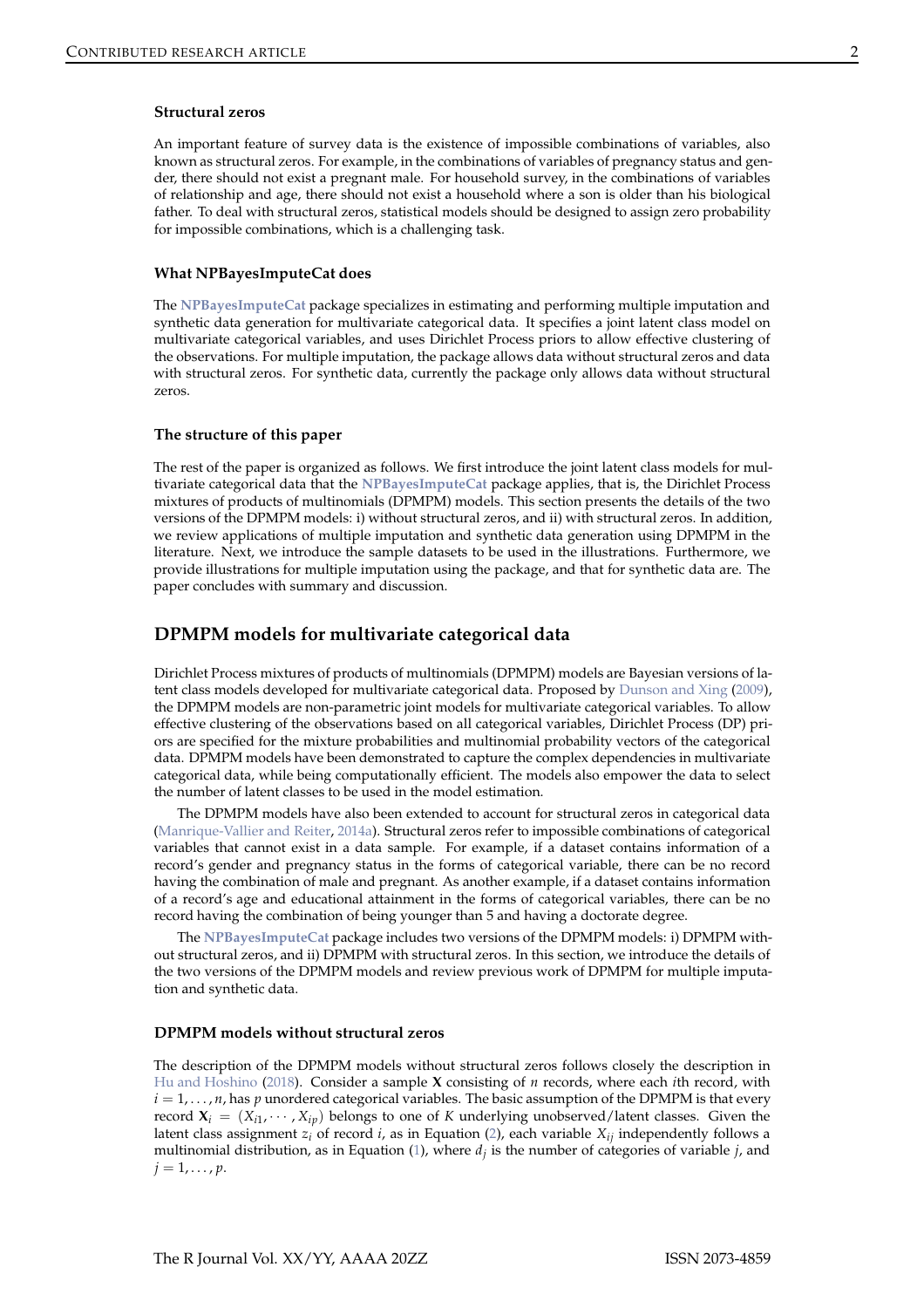#### <span id="page-1-0"></span>**Structural zeros**

An important feature of survey data is the existence of impossible combinations of variables, also known as structural zeros. For example, in the combinations of variables of pregnancy status and gender, there should not exist a pregnant male. For household survey, in the combinations of variables of relationship and age, there should not exist a household where a son is older than his biological father. To deal with structural zeros, statistical models should be designed to assign zero probability for impossible combinations, which is a challenging task.

#### **What NPBayesImputeCat does**

The **[NPBayesImputeCat](https://CRAN.R-project.org/package=NPBayesImputeCat)** package specializes in estimating and performing multiple imputation and synthetic data generation for multivariate categorical data. It specifies a joint latent class model on multivariate categorical variables, and uses Dirichlet Process priors to allow effective clustering of the observations. For multiple imputation, the package allows data without structural zeros and data with structural zeros. For synthetic data, currently the package only allows data without structural zeros.

## **The structure of this paper**

The rest of the paper is organized as follows. We first introduce the joint latent class models for multivariate categorical data that the **[NPBayesImputeCat](https://CRAN.R-project.org/package=NPBayesImputeCat)** package applies, that is, the Dirichlet Process mixtures of products of multinomials (DPMPM) models. This section presents the details of the two versions of the DPMPM models: i) without structural zeros, and ii) with structural zeros. In addition, we review applications of multiple imputation and synthetic data generation using DPMPM in the literature. Next, we introduce the sample datasets to be used in the illustrations. Furthermore, we provide illustrations for multiple imputation using the package, and that for synthetic data are. The paper concludes with summary and discussion.

# **DPMPM models for multivariate categorical data**

Dirichlet Process mixtures of products of multinomials (DPMPM) models are Bayesian versions of latent class models developed for multivariate categorical data. Proposed by [Dunson and Xing](#page-15-3) [\(2009](#page-15-3)), the DPMPM models are non-parametric joint models for multivariate categorical variables. To allow effective clustering of the observations based on all categorical variables, Dirichlet Process (DP) priors are specified for the mixture probabilities and multinomial probability vectors of the categorical data. DPMPM models have been demonstrated to capture the complex dependencies in multivariate categorical data, while being computationally efficient. The models also empower the data to select the number of latent classes to be used in the model estimation.

The DPMPM models have also been extended to account for structural zeros in categorical data [\(Manrique-Vallier and Reiter](#page-15-4), [2014a\)](#page-15-4). Structural zeros refer to impossible combinations of categorical variables that cannot exist in a data sample. For example, if a dataset contains information of a record's gender and pregnancy status in the forms of categorical variable, there can be no record having the combination of male and pregnant. As another example, if a dataset contains information of a record's age and educational attainment in the forms of categorical variables, there can be no record having the combination of being younger than 5 and having a doctorate degree.

The **[NPBayesImputeCat](https://CRAN.R-project.org/package=NPBayesImputeCat)** package includes two versions of the DPMPM models: i) DPMPM without structural zeros, and ii) DPMPM with structural zeros. In this section, we introduce the details of the two versions of the DPMPM models and review previous work of DPMPM for multiple imputation and synthetic data.

#### **DPMPM models without structural zeros**

The description of the DPMPM models without structural zeros follows closely the description in [Hu and Hoshino](#page-15-5) [\(2018\)](#page-15-5). Consider a sample **X** consisting of *n* records, where each *i*th record, with  $i = 1, \ldots, n$ , has *p* unordered categorical variables. The basic assumption of the DPMPM is that every record  $\mathbf{X}_i = (X_{i1}, \cdots, X_{ip})$  belongs to one of K underlying unobserved/latent classes. Given the latent class assignment  $z_i$ <sup>*i*</sup> of record *i*, as in Equation [\(2\)](#page-2-0), each variable  $X_i$ *i* independently follows a multinomial distribution, as in Equation [\(1\)](#page-2-0), where *d<sup>j</sup>* is the number of categories of variable *j*, and  $j = 1, \ldots, p$ .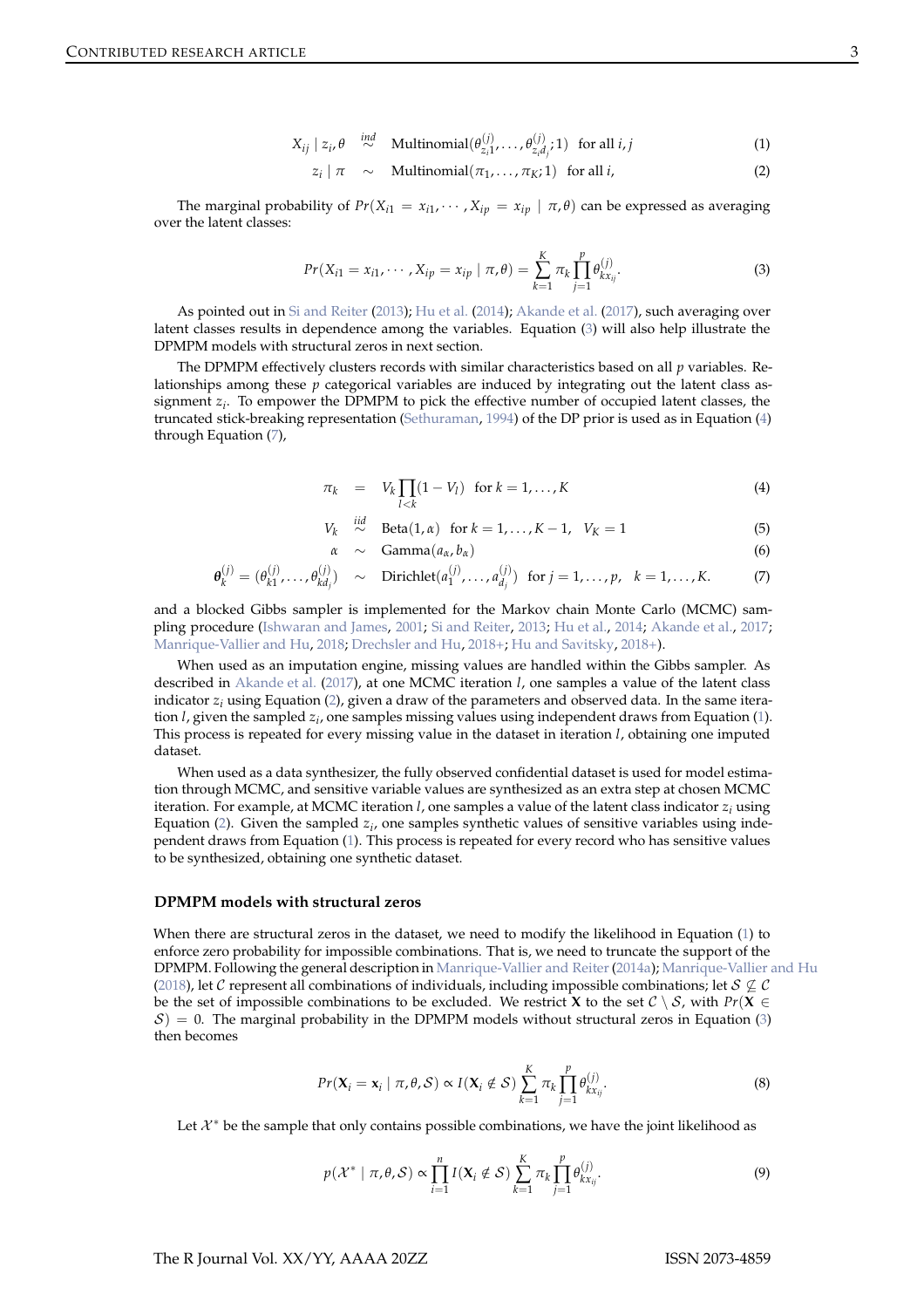<span id="page-2-0"></span>
$$
X_{ij} \mid z_i, \theta \stackrel{ind}{\sim} \text{Multinomial}(\theta_{z_i 1}^{(j)}, \dots, \theta_{z_i d_j}^{(j)}; 1) \text{ for all } i, j \tag{1}
$$

$$
z_i \mid \pi \sim \text{Multinomial}(\pi_1, \dots, \pi_K; 1) \text{ for all } i,
$$
 (2)

<span id="page-2-4"></span><span id="page-2-1"></span>The marginal probability of  $Pr(X_{i1} = x_{i1}, \dots, X_{ip} = x_{ip} | \pi, \theta)$  can be expressed as averaging over the latent classes:

$$
Pr(X_{i1} = x_{i1}, \cdots, X_{ip} = x_{ip} \mid \pi, \theta) = \sum_{k=1}^{K} \pi_k \prod_{j=1}^{p} \theta_{kx_{ij}}^{(j)}.
$$
 (3)

As pointed out in [Si and Reiter](#page-16-4) [\(2013](#page-16-4)); [Hu et al.](#page-15-6) [\(2014\)](#page-15-6); [Akande et al.](#page-15-7) [\(2017](#page-15-7)), such averaging over latent classes results in dependence among the variables. Equation [\(3\)](#page-2-1) will also help illustrate the DPMPM models with structural zeros in next section.

The DPMPM effectively clusters records with similar characteristics based on all *p* variables. Relationships among these *p* categorical variables are induced by integrating out the latent class assignment *z<sup>i</sup>* . To empower the DPMPM to pick the effective number of occupied latent classes, the truncated stick-breaking representation [\(Sethuraman](#page-16-5), [1994\)](#page-16-5) of the DP prior is used as in Equation [\(4\)](#page-2-2) through Equation [\(7\)](#page-2-2),

<span id="page-2-2"></span>
$$
\pi_k = V_k \prod_{l < k} (1 - V_l) \quad \text{for } k = 1, \dots, K \tag{4}
$$

$$
V_k \stackrel{iid}{\sim} \text{Beta}(1, \alpha) \text{ for } k = 1, ..., K - 1, V_K = 1
$$
 (5)

$$
\alpha \sim \text{Gamma}(a_{\alpha},b_{\alpha}) \qquad (6)
$$

$$
\boldsymbol{\theta}_{k}^{(j)} = (\theta_{k1}^{(j)}, \dots, \theta_{kd_j}^{(j)}) \sim \text{Dirichlet}(a_1^{(j)}, \dots, a_{d_j}^{(j)}) \text{ for } j = 1, \dots, p, \quad k = 1, \dots, K. \tag{7}
$$

and a blocked Gibbs sampler is implemented for the Markov chain Monte Carlo (MCMC) sam-pling procedure [\(Ishwaran and James,](#page-15-8) [2001;](#page-15-8) [Si and Reiter,](#page-16-4) [2013;](#page-16-4) [Hu et al.,](#page-15-6) [2014](#page-15-6); [Akande et al.,](#page-15-7) [2017](#page-15-7); [Manrique-Vallier and Hu,](#page-15-9) [2018](#page-15-9); [Drechsler and Hu](#page-15-10), [2018+;](#page-15-10) [Hu and Savitsky,](#page-15-11) [2018+](#page-15-11)).

When used as an imputation engine, missing values are handled within the Gibbs sampler. As described in [Akande et al.](#page-15-7) [\(2017\)](#page-15-7), at one MCMC iteration *l*, one samples a value of the latent class indicator *z<sup>i</sup>* using Equation [\(2\)](#page-2-0), given a draw of the parameters and observed data. In the same iteration *l*, given the sampled *z<sup>i</sup>* , one samples missing values using independent draws from Equation [\(1\)](#page-2-0). This process is repeated for every missing value in the dataset in iteration *l*, obtaining one imputed dataset.

When used as a data synthesizer, the fully observed confidential dataset is used for model estimation through MCMC, and sensitive variable values are synthesized as an extra step at chosen MCMC iteration. For example, at MCMC iteration *l*, one samples a value of the latent class indicator *z<sup>i</sup>* using Equation [\(2\)](#page-2-0). Given the sampled *z<sup>i</sup>* , one samples synthetic values of sensitive variables using independent draws from Equation [\(1\)](#page-2-0). This process is repeated for every record who has sensitive values to be synthesized, obtaining one synthetic dataset.

#### **DPMPM models with structural zeros**

When there are structural zeros in the dataset, we need to modify the likelihood in Equation [\(1\)](#page-2-0) to enforce zero probability for impossible combinations. That is, we need to truncate the support of the DPMPM. Following the general description in [Manrique-Vallier and Reiter\(2014a](#page-15-4)); [Manrique-Vallier and Hu](#page-15-9) [\(2018\)](#page-15-9), let C represent all combinations of individuals, including impossible combinations; let  $S \nsubseteq \mathcal{C}$ be the set of impossible combinations to be excluded. We restrict **X** to the set  $C \setminus S$ , with  $Pr(\mathbf{X} \in \mathbb{R})$  $S$ ) = 0. The marginal probability in the DPMPM models without structural zeros in Equation [\(3\)](#page-2-1) then becomes

$$
Pr(\mathbf{X}_i = \mathbf{x}_i \mid \pi, \theta, \mathcal{S}) \propto I(\mathbf{X}_i \notin \mathcal{S}) \sum_{k=1}^K \pi_k \prod_{j=1}^p \theta_{kx_{ij}}^{(j)}.
$$
 (8)

<span id="page-2-3"></span>Let  $\mathcal{X}^*$  be the sample that only contains possible combinations, we have the joint likelihood as

$$
p(\mathcal{X}^* \mid \pi, \theta, \mathcal{S}) \propto \prod_{i=1}^n I(\mathbf{X}_i \notin \mathcal{S}) \sum_{k=1}^K \pi_k \prod_{j=1}^p \theta_{kx_{ij}}^{(j)}.
$$
 (9)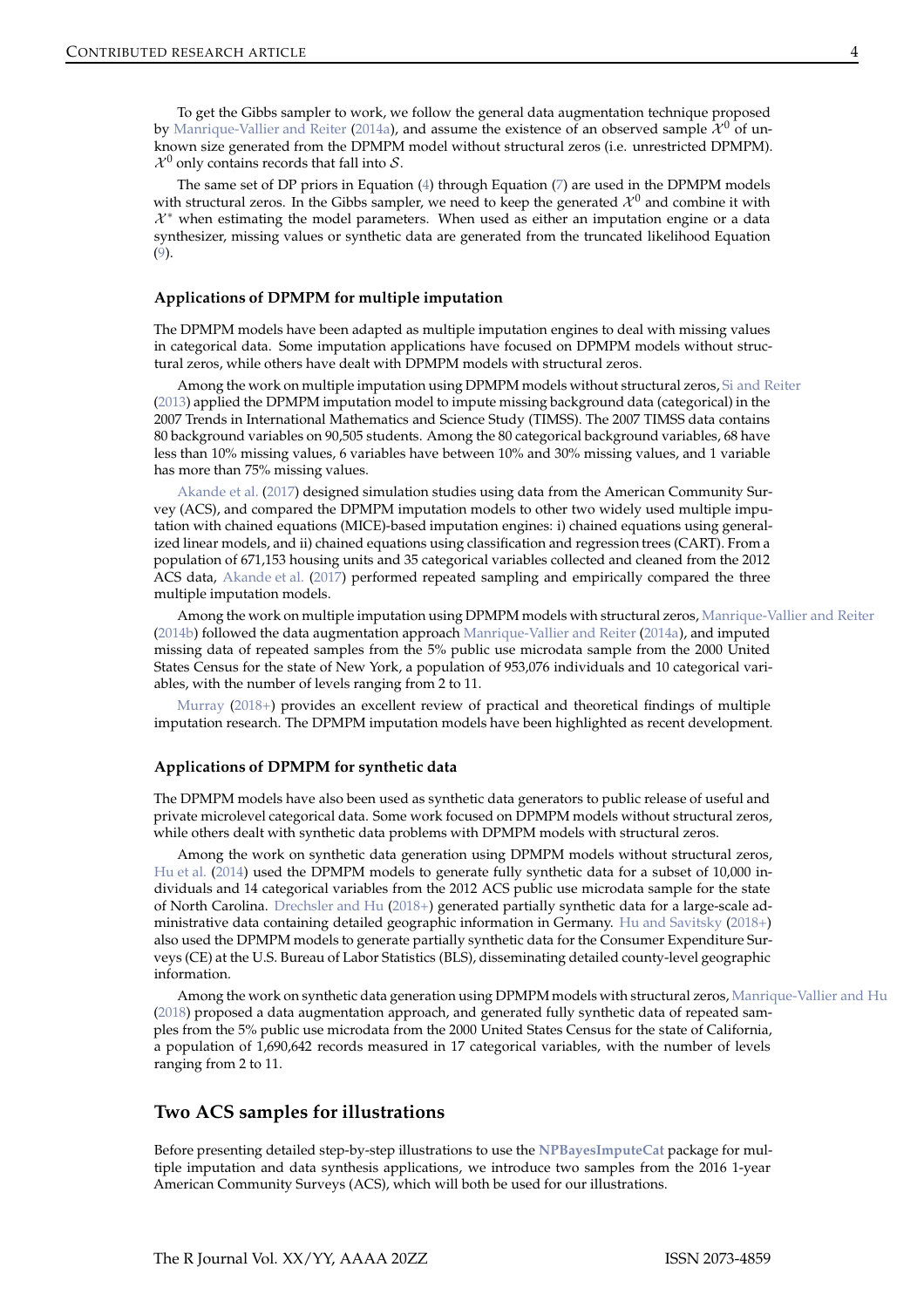<span id="page-3-0"></span>To get the Gibbs sampler to work, we follow the general data augmentation technique proposed by [Manrique-Vallier and Reiter](#page-15-4) [\(2014a](#page-15-4)), and assume the existence of an observed sample  $\mathcal{X}^0$  of unknown size generated from the DPMPM model without structural zeros (i.e. unrestricted DPMPM).  $\mathcal{X}^0$  only contains records that fall into S.

The same set of DP priors in Equation  $(4)$  through Equation  $(7)$  are used in the DPMPM models with structural zeros. In the Gibbs sampler, we need to keep the generated  $\mathcal{X}^0$  and combine it with  $\mathcal{X}^*$  when estimating the model parameters. When used as either an imputation engine or a data synthesizer, missing values or synthetic data are generated from the truncated likelihood Equation [\(9\)](#page-2-3).

# **Applications of DPMPM for multiple imputation**

The DPMPM models have been adapted as multiple imputation engines to deal with missing values in categorical data. Some imputation applications have focused on DPMPM models without structural zeros, while others have dealt with DPMPM models with structural zeros.

Among the work on multiple imputation using DPMPM models without structural zeros, [Si and Reiter](#page-16-4) [\(2013\)](#page-16-4) applied the DPMPM imputation model to impute missing background data (categorical) in the 2007 Trends in International Mathematics and Science Study (TIMSS). The 2007 TIMSS data contains 80 background variables on 90,505 students. Among the 80 categorical background variables, 68 have less than 10% missing values, 6 variables have between 10% and 30% missing values, and 1 variable has more than 75% missing values.

[Akande et al.](#page-15-7) [\(2017\)](#page-15-7) designed simulation studies using data from the American Community Survey (ACS), and compared the DPMPM imputation models to other two widely used multiple imputation with chained equations (MICE)-based imputation engines: i) chained equations using generalized linear models, and ii) chained equations using classification and regression trees (CART). From a population of 671,153 housing units and 35 categorical variables collected and cleaned from the 2012 ACS data, [Akande et al.](#page-15-7) [\(2017](#page-15-7)) performed repeated sampling and empirically compared the three multiple imputation models.

Among the work on multiple imputation using DPMPM models with structural zeros, [Manrique-Vallier and Reiter](#page-15-12) [\(2014b\)](#page-15-12) followed the data augmentation approach [Manrique-Vallier and Reiter](#page-15-4) [\(2014a](#page-15-4)), and imputed missing data of repeated samples from the 5% public use microdata sample from the 2000 United States Census for the state of New York, a population of 953,076 individuals and 10 categorical variables, with the number of levels ranging from 2 to 11.

[Murray](#page-15-13) [\(2018+](#page-15-13)) provides an excellent review of practical and theoretical findings of multiple imputation research. The DPMPM imputation models have been highlighted as recent development.

## **Applications of DPMPM for synthetic data**

The DPMPM models have also been used as synthetic data generators to public release of useful and private microlevel categorical data. Some work focused on DPMPM models without structural zeros, while others dealt with synthetic data problems with DPMPM models with structural zeros.

Among the work on synthetic data generation using DPMPM models without structural zeros, [Hu et al.](#page-15-6) [\(2014\)](#page-15-6) used the DPMPM models to generate fully synthetic data for a subset of 10,000 individuals and 14 categorical variables from the 2012 ACS public use microdata sample for the state of North Carolina. [Drechsler and Hu](#page-15-10) [\(2018+](#page-15-10)) generated partially synthetic data for a large-scale administrative data containing detailed geographic information in Germany. [Hu and Savitsky](#page-15-11) [\(2018+\)](#page-15-11) also used the DPMPM models to generate partially synthetic data for the Consumer Expenditure Surveys (CE) at the U.S. Bureau of Labor Statistics (BLS), disseminating detailed county-level geographic information.

Among the work on synthetic data generation using DPMPM models with structural zeros, [Manrique-Vallier and Hu](#page-15-9) [\(2018\)](#page-15-9) proposed a data augmentation approach, and generated fully synthetic data of repeated samples from the 5% public use microdata from the 2000 United States Census for the state of California, a population of 1,690,642 records measured in 17 categorical variables, with the number of levels ranging from 2 to 11.

# **Two ACS samples for illustrations**

Before presenting detailed step-by-step illustrations to use the **[NPBayesImputeCat](https://CRAN.R-project.org/package=NPBayesImputeCat)** package for multiple imputation and data synthesis applications, we introduce two samples from the 2016 1-year American Community Surveys (ACS), which will both be used for our illustrations.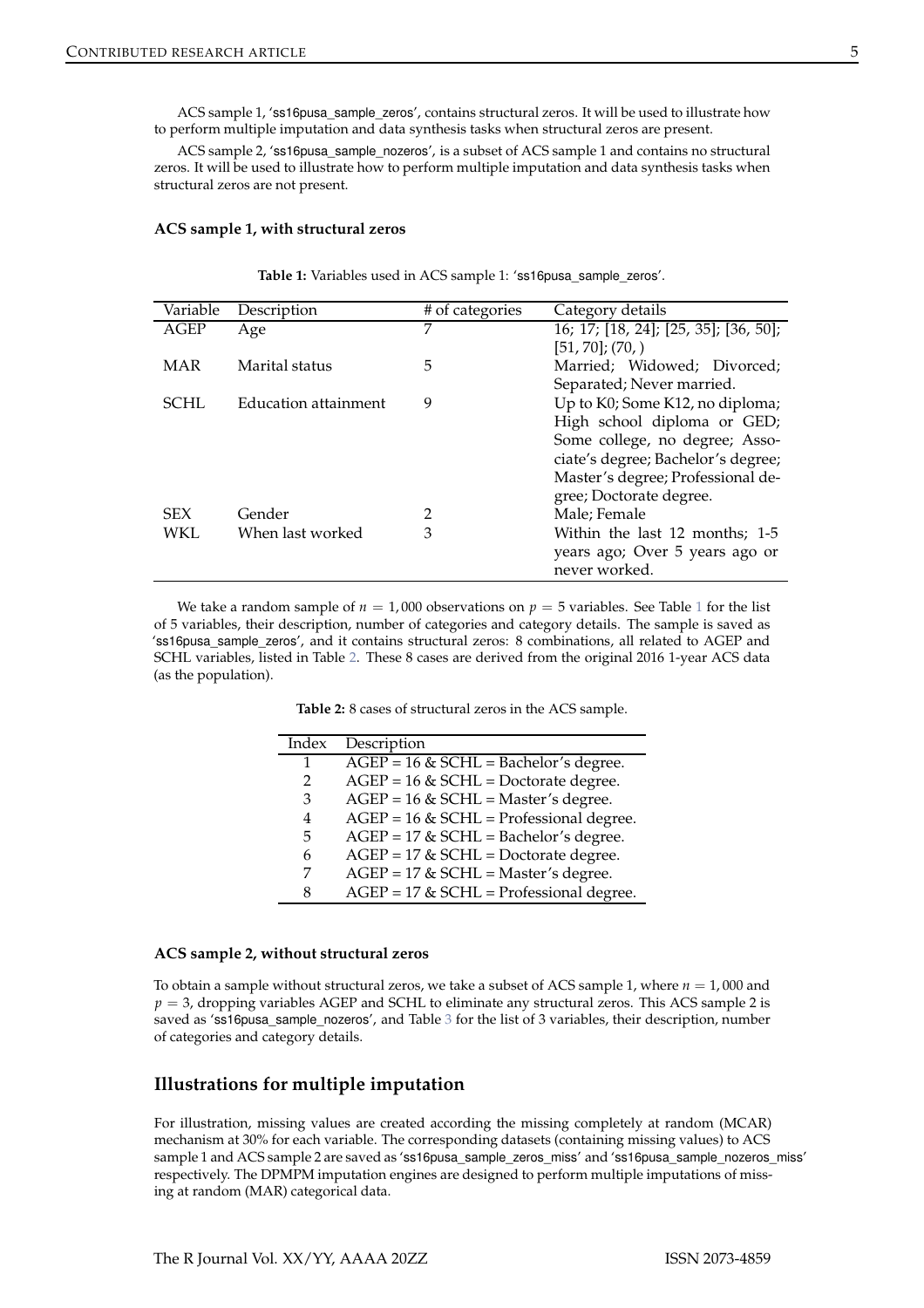ACS sample 1, 'ss16pusa\_sample\_zeros', contains structural zeros. It will be used to illustrate how to perform multiple imputation and data synthesis tasks when structural zeros are present.

ACS sample 2, 'ss16pusa\_sample\_nozeros', is a subset of ACS sample 1 and contains no structural zeros. It will be used to illustrate how to perform multiple imputation and data synthesis tasks when structural zeros are not present.

# <span id="page-4-0"></span>**ACS sample 1, with structural zeros**

**Table 1:** Variables used in ACS sample 1: 'ss16pusa\_sample\_zeros'.

| Variable   | Description          | # of categories | Category details                      |
|------------|----------------------|-----------------|---------------------------------------|
| AGEP       | Age                  | 7               | 16; 17; [18, 24]; [25, 35]; [36, 50]; |
|            |                      |                 | $[51, 70]$ ; (70,)                    |
| <b>MAR</b> | Marital status       | 5               | Married; Widowed; Divorced;           |
|            |                      |                 | Separated; Never married.             |
| SCHL.      | Education attainment | 9               | Up to K0; Some K12, no diploma;       |
|            |                      |                 | High school diploma or GED;           |
|            |                      |                 | Some college, no degree; Asso-        |
|            |                      |                 | ciate's degree; Bachelor's degree;    |
|            |                      |                 | Master's degree; Professional de-     |
|            |                      |                 | gree; Doctorate degree.               |
| <b>SEX</b> | Gender               | 2               | Male; Female                          |
| WKL        | When last worked     | 3               | Within the last 12 months; 1-5        |
|            |                      |                 | years ago; Over 5 years ago or        |
|            |                      |                 | never worked.                         |

<span id="page-4-1"></span>We take a random sample of  $n = 1,000$  $n = 1,000$  $n = 1,000$  observations on  $p = 5$  variables. See Table 1 for the list of 5 variables, their description, number of categories and category details. The sample is saved as 'ss16pusa\_sample\_zeros', and it contains structural zeros: 8 combinations, all related to AGEP and SCHL variables, listed in Table [2.](#page-4-1) These 8 cases are derived from the original 2016 1-year ACS data (as the population).

**Table 2:** 8 cases of structural zeros in the ACS sample.

| Index | Description                                |
|-------|--------------------------------------------|
| 1     | $AGEP = 16 \& SCHL = Bachelor's degree.$   |
| 2     | $AGEP = 16 \& SCHL = Doctorate degree.$    |
| 3     | $AGEP = 16 \& SCHL = Master's degree.$     |
| 4     | $AGEP = 16 \& SCHL = Professional degree.$ |
| 5     | $AGEP = 17 \& SCHL = Bachelor's degree.$   |
| 6     | $AGEP = 17 \& SCHL = Doctorate degree.$    |
| 7     | $AGEP = 17$ & SCHL = Master's degree.      |
| 8     | $AGEP = 17$ & SCHL = Professional degree.  |

## **ACS sample 2, without structural zeros**

To obtain a sample without structural zeros, we take a subset of ACS sample 1, where  $n = 1,000$  and  $p = 3$ , dropping variables AGEP and SCHL to eliminate any structural zeros. This ACS sample 2 is saved as 'ss16pusa\_sample\_nozeros', and Table [3](#page-5-0) for the list of 3 variables, their description, number of categories and category details.

# **Illustrations for multiple imputation**

For illustration, missing values are created according the missing completely at random (MCAR) mechanism at 30% for each variable. The corresponding datasets (containing missing values) to ACS sample 1 and ACS sample 2 are saved as 'ss16pusa\_sample\_zeros\_miss' and 'ss16pusa\_sample\_nozeros\_miss' respectively. The DPMPM imputation engines are designed to perform multiple imputations of missing at random (MAR) categorical data.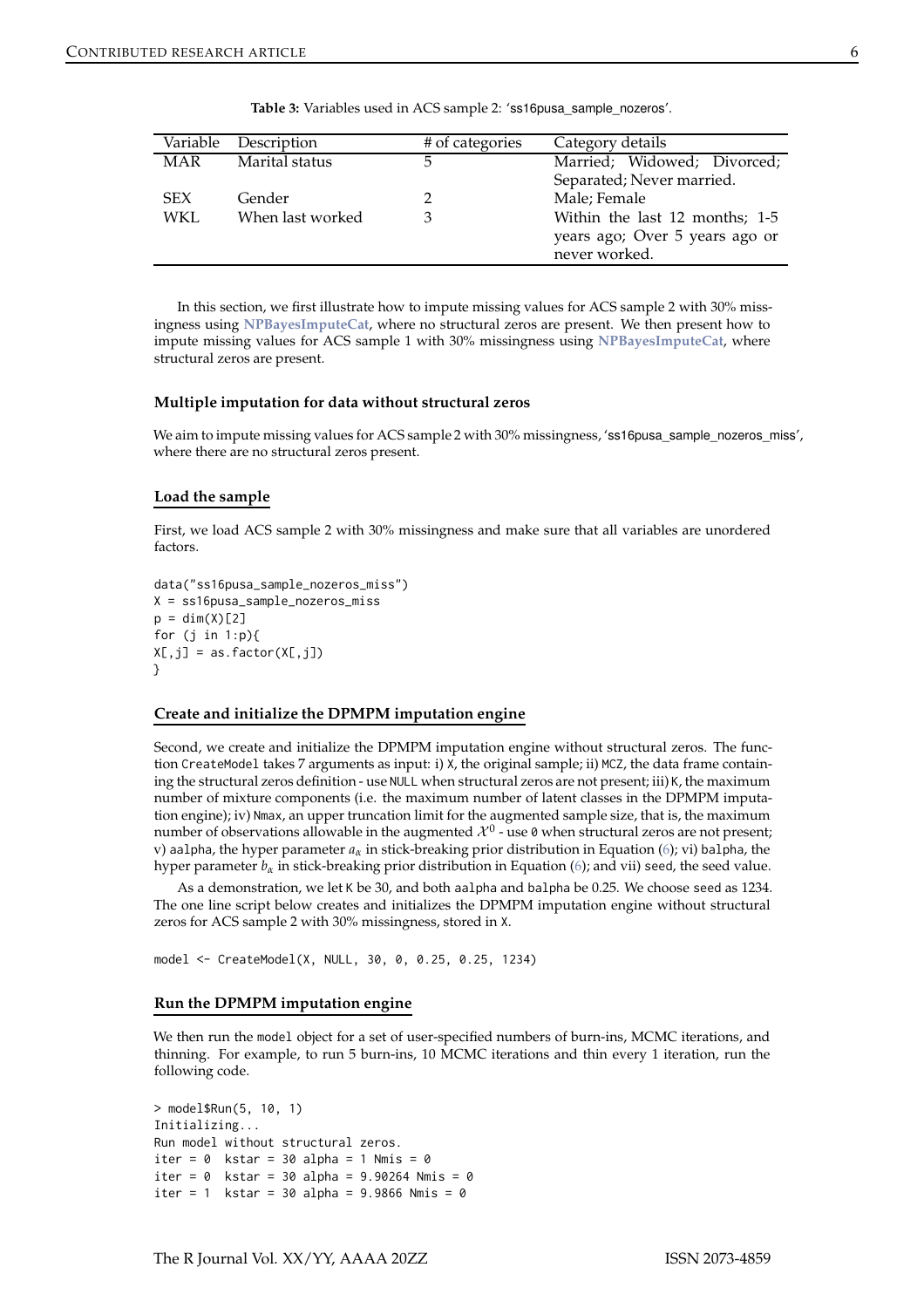<span id="page-5-0"></span>

| Variable   | Description      | # of categories | Category details               |
|------------|------------------|-----------------|--------------------------------|
| <b>MAR</b> | Marital status   | 5               | Married; Widowed; Divorced;    |
|            |                  |                 | Separated; Never married.      |
| <b>SEX</b> | Gender           | 2               | Male; Female                   |
| WKL.       | When last worked | 3               | Within the last 12 months; 1-5 |
|            |                  |                 | years ago; Over 5 years ago or |
|            |                  |                 | never worked.                  |
|            |                  |                 |                                |

Table 3: Variables used in ACS sample 2: 'ss16pusa\_sample\_nozeros'.

In this section, we first illustrate how to impute missing values for ACS sample 2 with 30% missingness using **[NPBayesImputeCat](https://CRAN.R-project.org/package=NPBayesImputeCat)**, where no structural zeros are present. We then present how to impute missing values for ACS sample 1 with 30% missingness using **[NPBayesImputeCat](https://CRAN.R-project.org/package=NPBayesImputeCat)**, where structural zeros are present.

#### **Multiple imputation for data without structural zeros**

We aim to impute missing values for ACS sample 2 with 30% missingness, 'ss16 pusa\_sample\_nozeros\_miss', where there are no structural zeros present.

#### **Load the sample**

First, we load ACS sample 2 with 30% missingness and make sure that all variables are unordered factors.

```
data("ss16pusa_sample_nozeros_miss")
X = ss16pusa_sample_nozeros_miss
p = dim(X)[2]for (j in 1:p){
X[, j] = as.factor(X[, j])}
```
#### **Create and initialize the DPMPM imputation engine**

Second, we create and initialize the DPMPM imputation engine without structural zeros. The function CreateModel takes 7 arguments as input: i) X, the original sample; ii) MCZ, the data frame containing the structural zeros definition - use NULL when structural zeros are not present; iii) K, the maximum number of mixture components (i.e. the maximum number of latent classes in the DPMPM imputation engine); iv) Nmax, an upper truncation limit for the augmented sample size, that is, the maximum number of observations allowable in the augmented  $\mathcal{X}^0$  - use 0 when structural zeros are not present; v) aalpha, the hyper parameter *aα* in stick-breaking prior distribution in Equation [\(6\)](#page-2-2); vi) balpha, the hyper parameter  $b_\alpha$  in stick-breaking prior distribution in Equation [\(6\)](#page-2-2); and vii) seed, the seed value.

As a demonstration, we let K be 30, and both aalpha and balpha be 0.25. We choose seed as 1234. The one line script below creates and initializes the DPMPM imputation engine without structural zeros for ACS sample 2 with 30% missingness, stored in X.

model <- CreateModel(X, NULL, 30, 0, 0.25, 0.25, 1234)

#### **Run the DPMPM imputation engine**

We then run the model object for a set of user-specified numbers of burn-ins, MCMC iterations, and thinning. For example, to run 5 burn-ins, 10 MCMC iterations and thin every 1 iteration, run the following code.

```
> model$Run(5, 10, 1)
Initializing...
Run model without structural zeros.
iter = 0 kstar = 30 alpha = 1 Nmis = 0iter = 0 kstar = 30 alpha = 9.90264 Nmis = 0
iter = 1 kstar = 30 alpha = 9.9866 Nmis = 0
```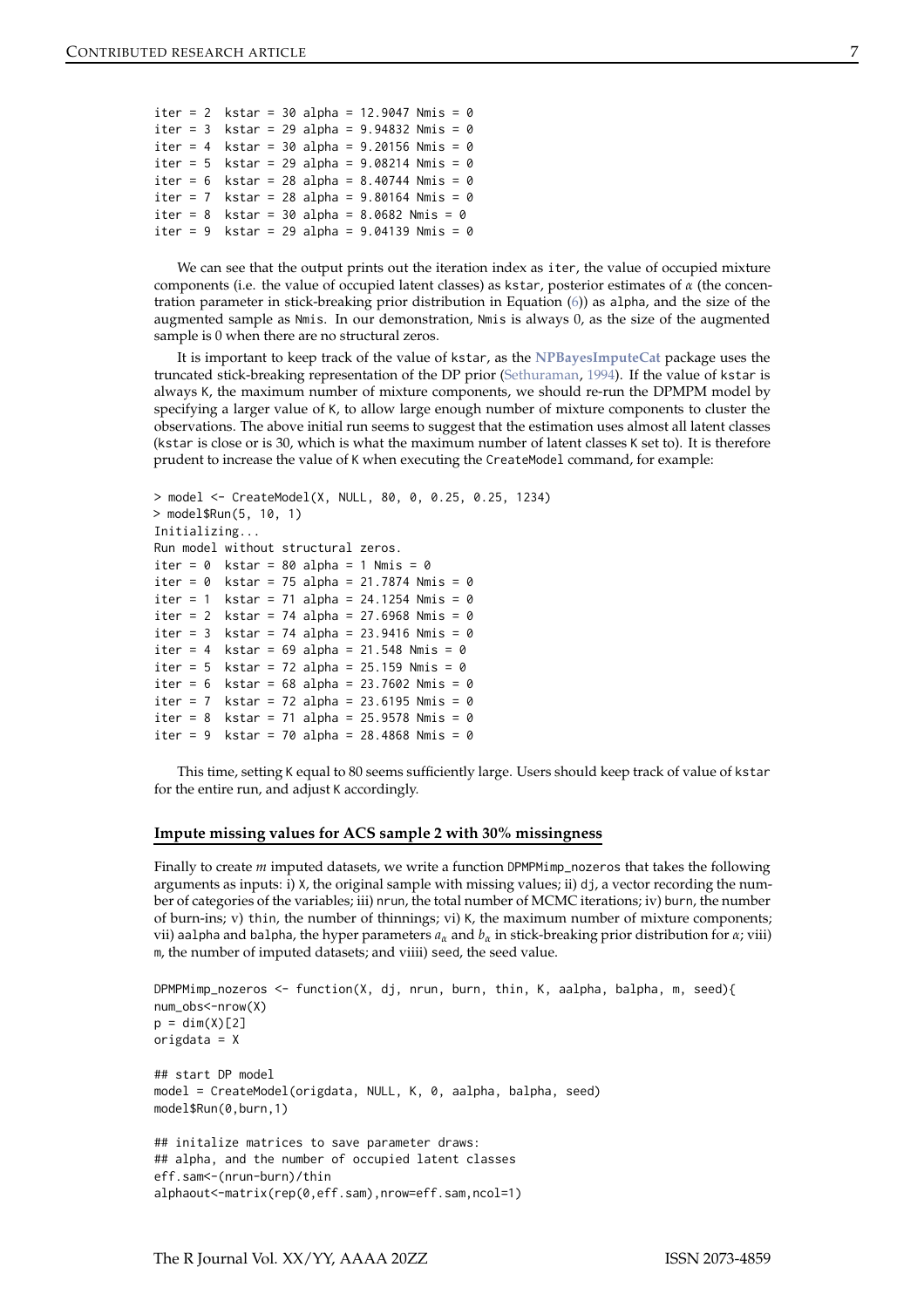<span id="page-6-0"></span>

|  |  |  | iter = 2 $kstar = 30$ alpha = 12.9047 Nmis = 0       |
|--|--|--|------------------------------------------------------|
|  |  |  | iter = $3$ kstar = $29$ alpha = $9.94832$ Nmis = 0   |
|  |  |  | iter = 4 kstar = 30 alpha = $9.20156$ Nmis = 0       |
|  |  |  | iter = $5$ kstar = $29$ alpha = $9.08214$ Nmis = 0   |
|  |  |  | iter = $6$ kstar = 28 alpha = 8.40744 Nmis = 0       |
|  |  |  | iter = 7 kstar = 28 alpha = $9.80164$ Nmis = 0       |
|  |  |  | iter = 8 $kstar = 30$ alpha = 8.0682 Nmis = 0        |
|  |  |  | iter = $9$ kstar = $29$ alpha = $9.04139$ Nmis = $0$ |

We can see that the output prints out the iteration index as iter, the value of occupied mixture components (i.e. the value of occupied latent classes) as kstar, posterior estimates of *α* (the concentration parameter in stick-breaking prior distribution in Equation [\(6\)](#page-2-2)) as alpha, and the size of the augmented sample as Nmis. In our demonstration, Nmis is always 0, as the size of the augmented sample is 0 when there are no structural zeros.

It is important to keep track of the value of kstar, as the **[NPBayesImputeCat](https://CRAN.R-project.org/package=NPBayesImputeCat)** package uses the truncated stick-breaking representation of the DP prior [\(Sethuraman](#page-16-5), [1994](#page-16-5)). If the value of kstar is always K, the maximum number of mixture components, we should re-run the DPMPM model by specifying a larger value of K, to allow large enough number of mixture components to cluster the observations. The above initial run seems to suggest that the estimation uses almost all latent classes (kstar is close or is 30, which is what the maximum number of latent classes K set to). It is therefore prudent to increase the value of K when executing the CreateModel command, for example:

```
> model <- CreateModel(X, NULL, 80, 0, 0.25, 0.25, 1234)
> model$Run(5, 10, 1)
Initializing...
Run model without structural zeros.
iter = 0 kstar = 80 alpha = 1 Nmis = 0iter = 0 kstar = 75 alpha = 21.7874 Nmis = 0
iter = 1 kstar = 71 alpha = 24.1254 Nmis = 0
iter = 2 kstar = 74 alpha = 27.6968 Nmis = 0
iter = 3 kstar = 74 alpha = 23.9416 Nmis = 0
iter = 4 kstar = 69 alpha = 21.548 Nmis = 0
iter = 5 kstar = 72 alpha = 25.159 Nmis = 0iter = 6 kstar = 68 alpha = 23.7602 Nmis = 0iter = 7 kstar = 72 alpha = 23.6195 Nmis = 0
iter = 8 kstar = 71 alpha = 25.9578 Nmis = 0
iter = 9 kstar = 70 alpha = 28.4868 Nmis = 0
```
This time, setting K equal to 80 seems sufficiently large. Users should keep track of value of kstar for the entire run, and adjust K accordingly.

#### **Impute missing values for ACS sample 2 with 30% missingness**

Finally to create *m* imputed datasets, we write a function DPMPMimp\_nozeros that takes the following arguments as inputs: i) X, the original sample with missing values; ii) dj, a vector recording the number of categories of the variables; iii) nrun, the total number of MCMC iterations; iv) burn, the number of burn-ins; v) thin, the number of thinnings; vi) K, the maximum number of mixture components; vii) aalpha and balpha, the hyper parameters *a<sup>α</sup>* and *b<sup>α</sup>* in stick-breaking prior distribution for *α*; viii) m, the number of imputed datasets; and viiii) seed, the seed value.

```
DPMPMimp_nozeros <- function(X, dj, nrun, burn, thin, K, aalpha, balpha, m, seed){
num_obs<-nrow(X)
p = dim(X)[2]origdata = X
## start DP model
model = CreateModel(origdata, NULL, K, 0, aalpha, balpha, seed)
model$Run(0,burn,1)
## initalize matrices to save parameter draws:
## alpha, and the number of occupied latent classes
eff.sam<-(nrun-burn)/thin
alphaout<-matrix(rep(0,eff.sam),nrow=eff.sam,ncol=1)
```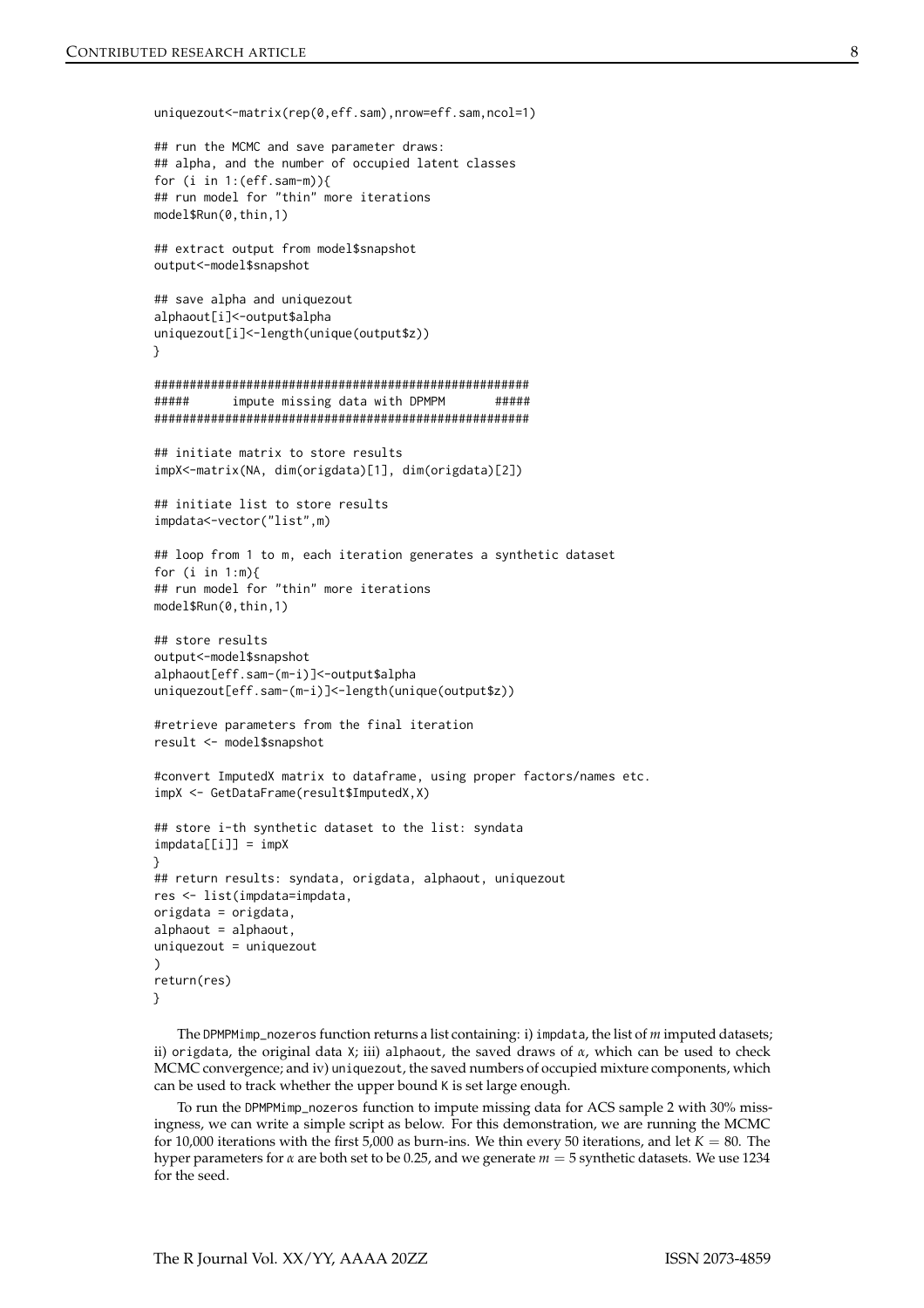```
uniquezout<-matrix(rep(0,eff.sam),nrow=eff.sam,ncol=1)
## run the MCMC and save parameter draws:
## alpha, and the number of occupied latent classes
for (i in 1:(eff.sam-m)){
## run model for "thin" more iterations
model$Run(0,thin,1)
## extract output from model$snapshot
output<-model$snapshot
## save alpha and uniquezout
alphaout[i]<-output$alpha
uniquezout[i]<-length(unique(output$z))
}
#####################################################
##### impute missing data with DPMPM #####
#####################################################
## initiate matrix to store results
impX<-matrix(NA, dim(origdata)[1], dim(origdata)[2])
## initiate list to store results
impdata<-vector("list",m)
## loop from 1 to m, each iteration generates a synthetic dataset
for (i in 1:m){
## run model for "thin" more iterations
model$Run(0,thin,1)
## store results
output<-model$snapshot
alphaout[eff.sam-(m-i)]<-output$alpha
uniquezout[eff.sam-(m-i)]<-length(unique(output$z))
#retrieve parameters from the final iteration
result <- model$snapshot
#convert ImputedX matrix to dataframe, using proper factors/names etc.
impX <- GetDataFrame(result$ImputedX,X)
## store i-th synthetic dataset to the list: syndata
impdata[[i]] = impX}
## return results: syndata, origdata, alphaout, uniquezout
res <- list(impdata=impdata,
origdata = origdata,
alphaout = alphaout,
uniquezout = uniquezout
\lambdareturn(res)
}
```
The DPMPMimp\_nozeros function returns a list containing: i) impdata, the list of *m* imputed datasets; ii) origdata, the original data X; iii) alphaout, the saved draws of *α*, which can be used to check MCMC convergence; and iv) uniquezout, the saved numbers of occupied mixture components, which can be used to track whether the upper bound K is set large enough.

To run the DPMPMimp\_nozeros function to impute missing data for ACS sample 2 with 30% missingness, we can write a simple script as below. For this demonstration, we are running the MCMC for 10,000 iterations with the first 5,000 as burn-ins. We thin every 50 iterations, and let  $K = 80$ . The hyper parameters for *α* are both set to be 0.25, and we generate *m* = 5 synthetic datasets. We use 1234 for the seed.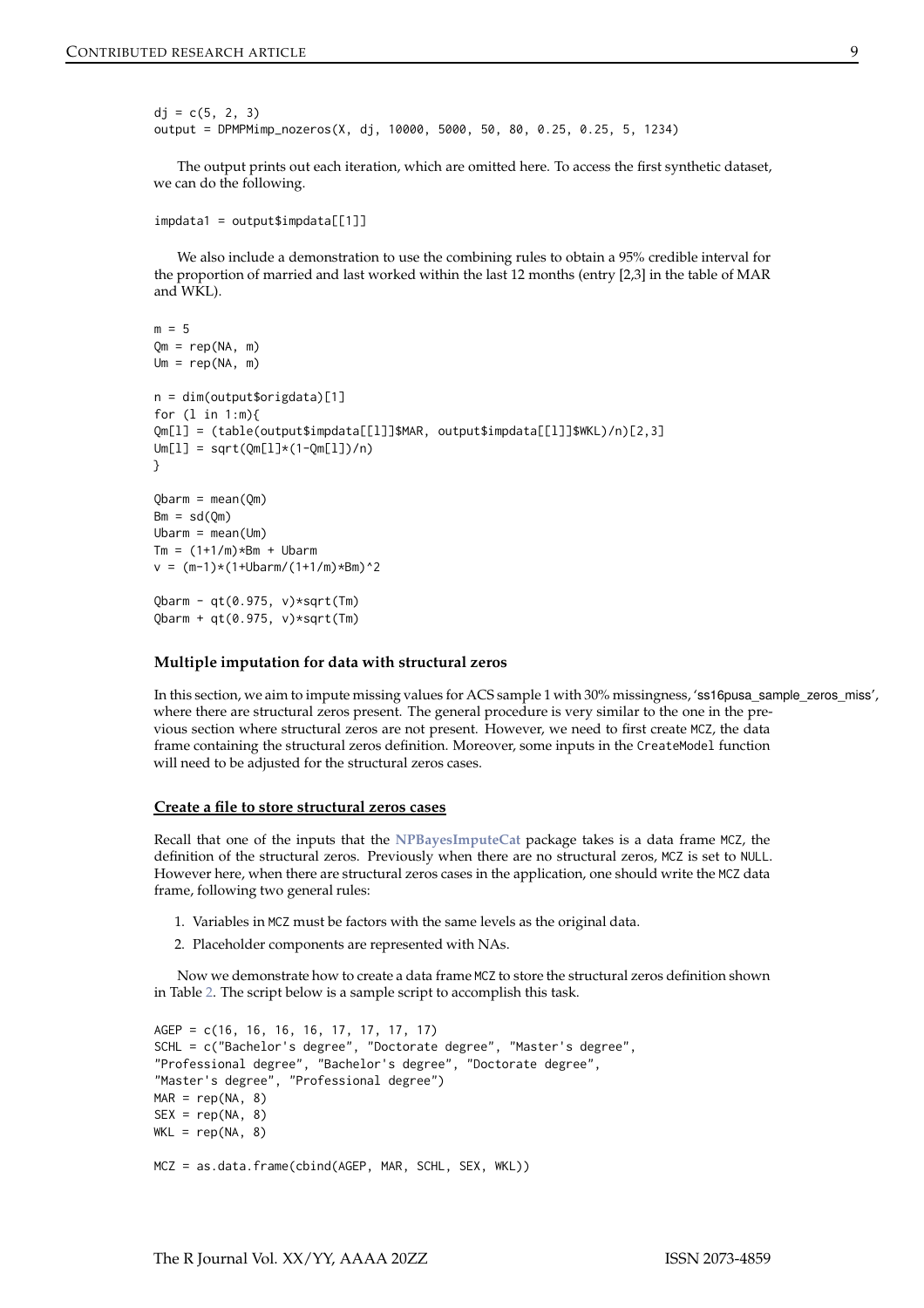```
dj = c(5, 2, 3)output = DPMPMimp_nozeros(X, dj, 10000, 5000, 50, 80, 0.25, 0.25, 5, 1234)
```
The output prints out each iteration, which are omitted here. To access the first synthetic dataset, we can do the following.

```
impdata1 = output$impdata[[1]]
```
We also include a demonstration to use the combining rules to obtain a 95% credible interval for the proportion of married and last worked within the last 12 months (entry [2,3] in the table of MAR and WKL).

```
m = 5Qm = rep(NA, m)
Um = rep(NA, m)n = dim(output$origdata)[1]
for (l in 1:m){
Qm[l] = (table(output$impdata[[l]]$MAR, output$impdata[[l]]$WKL)/n)[2,3]
Um[1] = sqrt(Qm[1]*(1-Qm[1])/n)}
Qbarm = mean(Qm)Bm = sd(Qm)Ubarm = mean(Um)Tm = (1+1/m)*Bm + Ubarmv = (m-1)*(1+Ubarm/(1+1/m)*Bm)^2Qbarm - qt(0.975, v)*sqrt(Tm)Qbarm + qt(0.975, v)*sqrt(Tm)
```
## **Multiple imputation for data with structural zeros**

In this section, we aim to impute missing values for ACS sample 1 with 30% missingness, 'ss16pusa\_sample\_zeros\_miss', where there are structural zeros present. The general procedure is very similar to the one in the previous section where structural zeros are not present. However, we need to first create MCZ, the data frame containing the structural zeros definition. Moreover, some inputs in the CreateModel function will need to be adjusted for the structural zeros cases.

#### **Create a file to store structural zeros cases**

Recall that one of the inputs that the **[NPBayesImputeCat](https://CRAN.R-project.org/package=NPBayesImputeCat)** package takes is a data frame MCZ, the definition of the structural zeros. Previously when there are no structural zeros, MCZ is set to NULL. However here, when there are structural zeros cases in the application, one should write the MCZ data frame, following two general rules:

- 1. Variables in MCZ must be factors with the same levels as the original data.
- 2. Placeholder components are represented with NAs.

Now we demonstrate how to create a data frame MCZ to store the structural zeros definition shown in Table [2.](#page-4-1) The script below is a sample script to accomplish this task.

```
AGEP = c(16, 16, 16, 16, 17, 17, 17, 17)
SCHL = c("Bachelor's degree", "Doctorate degree", "Master's degree",
"Professional degree", "Bachelor's degree", "Doctorate degree",
"Master's degree", "Professional degree")
MAR = rep(NA, 8)SEX = rep(NA, 8)WKL = rep(NA, 8)MCZ = as.data.frame(cbind(AGEP, MAR, SCHL, SEX, WKL))
```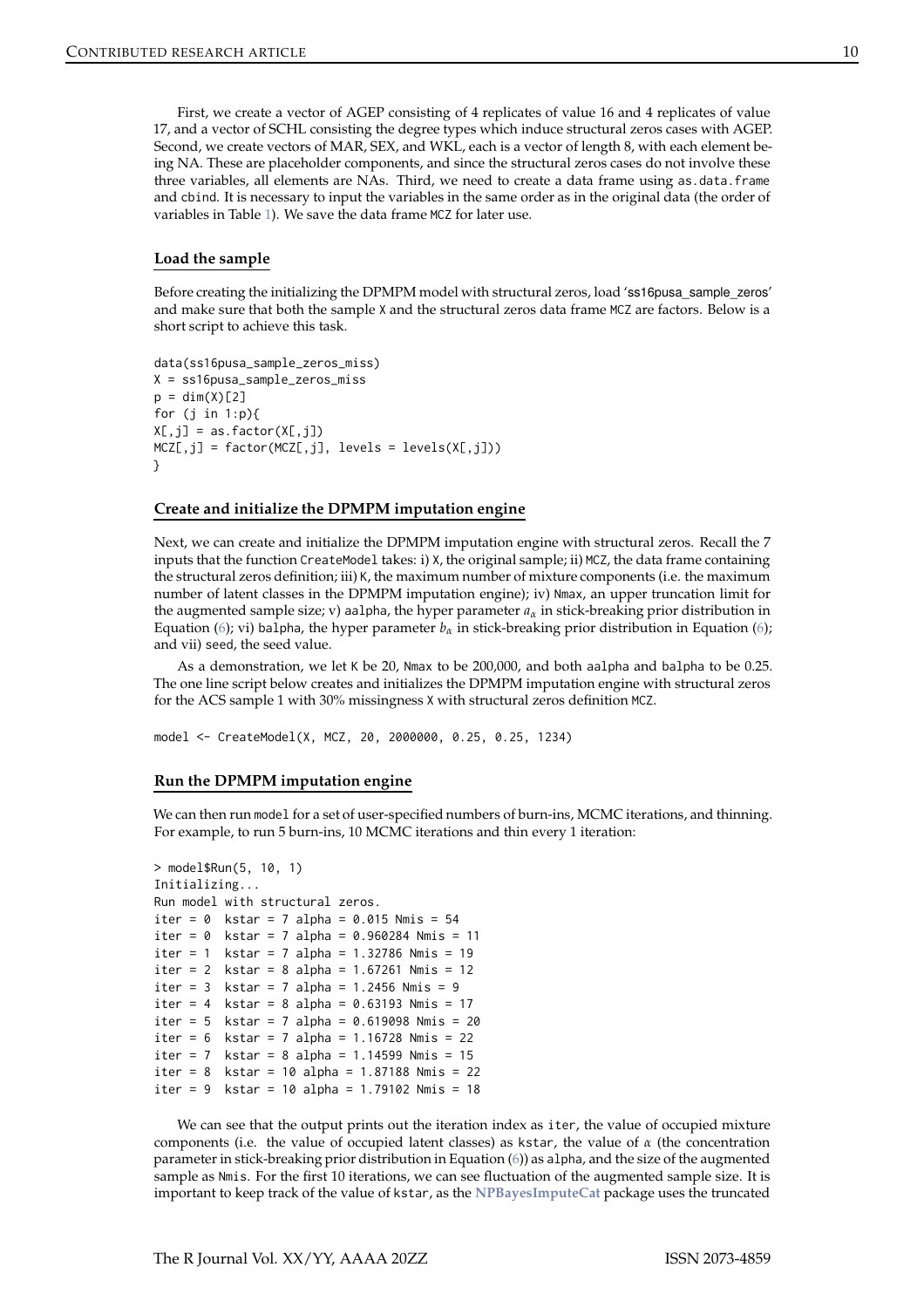First, we create a vector of AGEP consisting of 4 replicates of value 16 and 4 replicates of value 17, and a vector of SCHL consisting the degree types which induce structural zeros cases with AGEP. Second, we create vectors of MAR, SEX, and WKL, each is a vector of length 8, with each element being NA. These are placeholder components, and since the structural zeros cases do not involve these three variables, all elements are NAs. Third, we need to create a data frame using as.data.frame and cbind. It is necessary to input the variables in the same order as in the original data (the order of variables in Table [1\)](#page-4-0). We save the data frame MCZ for later use.

#### **Load the sample**

Before creating the initializing the DPMPM model with structural zeros, load 'ss16pusa\_sample\_zeros' and make sure that both the sample X and the structural zeros data frame MCZ are factors. Below is a short script to achieve this task.

```
data(ss16pusa_sample_zeros_miss)
X = ss16pusa_sample_zeros_miss
p = dim(X)[2]for (j in 1:p){
X[, j] = as.factor(X[, j])MCZ[, j] = factor(MCZ[, j], levels = levels(X[, j])}
```
#### **Create and initialize the DPMPM imputation engine**

Next, we can create and initialize the DPMPM imputation engine with structural zeros. Recall the 7 inputs that the function CreateModel takes: i) X, the original sample; ii) MCZ, the data frame containing the structural zeros definition; iii) K, the maximum number of mixture components (i.e. the maximum number of latent classes in the DPMPM imputation engine); iv) Nmax, an upper truncation limit for the augmented sample size; v) aalpha, the hyper parameter  $a_\alpha$  in stick-breaking prior distribution in Equation [\(6\)](#page-2-2); vi) balpha, the hyper parameter  $b_\alpha$  in stick-breaking prior distribution in Equation (6); and vii) seed, the seed value.

As a demonstration, we let K be 20, Nmax to be 200,000, and both aalpha and balpha to be 0.25. The one line script below creates and initializes the DPMPM imputation engine with structural zeros for the ACS sample 1 with 30% missingness X with structural zeros definition MCZ.

model <- CreateModel(X, MCZ, 20, 2000000, 0.25, 0.25, 1234)

## **Run the DPMPM imputation engine**

We can then run model for a set of user-specified numbers of burn-ins, MCMC iterations, and thinning. For example, to run 5 burn-ins, 10 MCMC iterations and thin every 1 iteration:

```
> model$Run(5, 10, 1)
Initializing...
Run model with structural zeros.
iter = 0 kstar = 7 alpha = 0.015 Nmis = 54iter = 0 kstar = 7 alpha = 0.960284 Nmis = 11
iter = 1 kstar = 7 alpha = 1.32786 Nmis = 19iter = 2 kstar = 8 alpha = 1.67261 Nmis = 12
iter = 3 kstar = 7 alpha = 1.2456 Nmis = 9iter = 4 kstar = 8 alpha = 0.63193 Nmis = 17
iter = 5 kstar = 7 alpha = 0.619098 Nmis = 20
iter = 6 kstar = 7 alpha = 1.16728 Nmis = 22iter = 7 kstar = 8 alpha = 1.14599 Nmis = 15
iter = 8 kstar = 10 alpha = 1.87188 Nmis = 22
iter = 9 kstar = 10 alpha = 1.79102 Nmis = 18
```
We can see that the output prints out the iteration index as iter, the value of occupied mixture components (i.e. the value of occupied latent classes) as kstar, the value of *α* (the concentration parameter in stick-breaking prior distribution in Equation [\(6\)](#page-2-2)) as alpha, and the size of the augmented sample as Nmis. For the first 10 iterations, we can see fluctuation of the augmented sample size. It is important to keep track of the value of kstar, as the **[NPBayesImputeCat](https://CRAN.R-project.org/package=NPBayesImputeCat)** package uses the truncated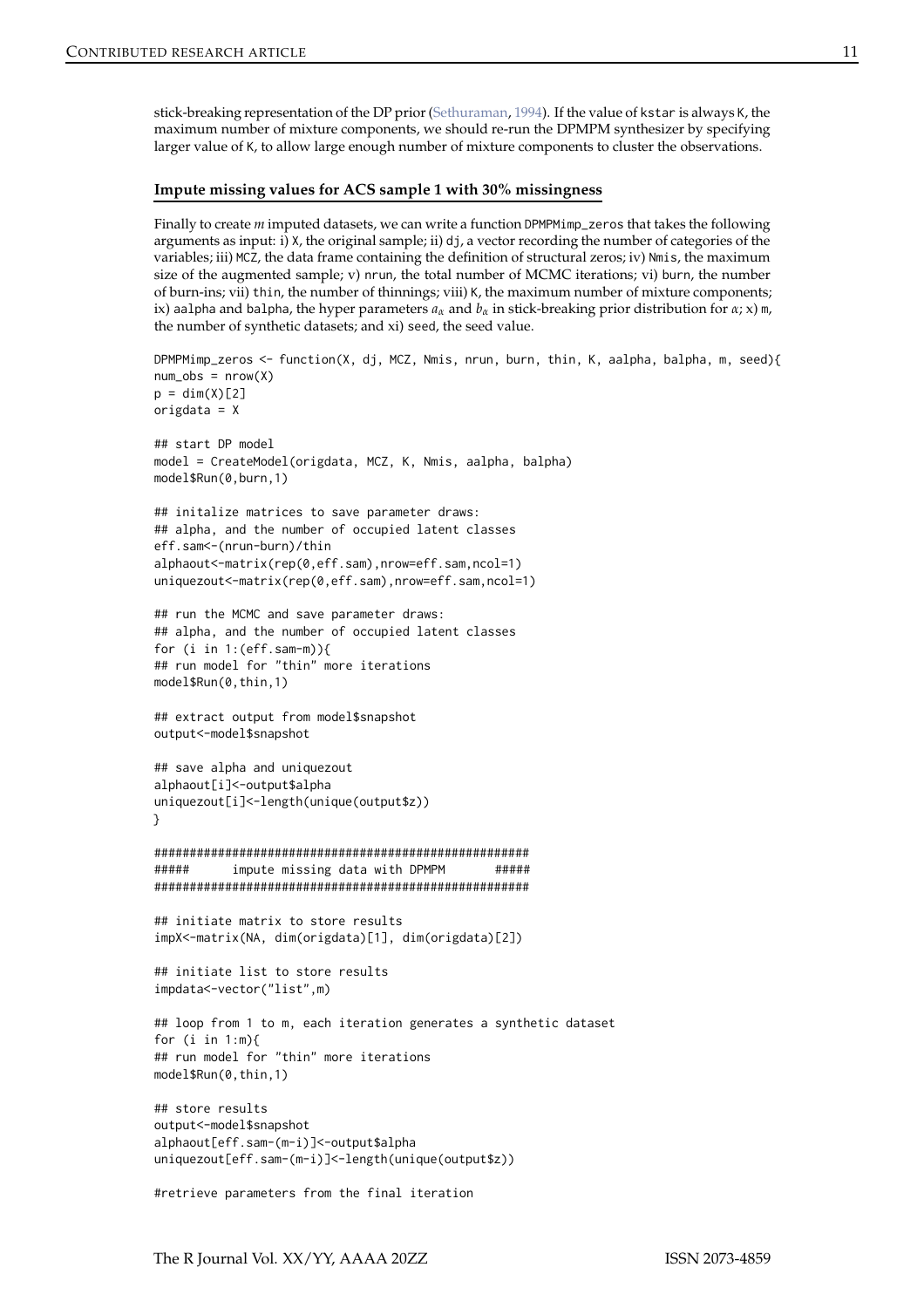<span id="page-10-0"></span>stick-breaking representation of the DP prior [\(Sethuraman](#page-16-5), [1994](#page-16-5)). If the value of kstar is always K, the maximum number of mixture components, we should re-run the DPMPM synthesizer by specifying larger value of K, to allow large enough number of mixture components to cluster the observations.

## **Impute missing values for ACS sample 1 with 30% missingness**

Finally to create *m* imputed datasets, we can write a function DPMPMimp\_zeros that takes the following arguments as input: i) X, the original sample; ii) dj, a vector recording the number of categories of the variables; iii) MCZ, the data frame containing the definition of structural zeros; iv) Nmis, the maximum size of the augmented sample; v) nrun, the total number of MCMC iterations; vi) burn, the number of burn-ins; vii) thin, the number of thinnings; viii) K, the maximum number of mixture components; ix) aalpha and balpha, the hyper parameters  $a_\alpha$  and  $b_\alpha$  in stick-breaking prior distribution for  $\alpha$ ; x) m, the number of synthetic datasets; and xi) seed, the seed value.

```
DPMPMimp_zeros <- function(X, dj, MCZ, Nmis, nrun, burn, thin, K, aalpha, balpha, m, seed){
num\_obs = nrow(X)p = dim(X)[2]origdata = X
## start DP model
model = CreateModel(origdata, MCZ, K, Nmis, aalpha, balpha)
model$Run(0,burn,1)
## initalize matrices to save parameter draws:
## alpha, and the number of occupied latent classes
eff.sam<-(nrun-burn)/thin
alphaout<-matrix(rep(0,eff.sam),nrow=eff.sam,ncol=1)
uniquezout<-matrix(rep(0,eff.sam),nrow=eff.sam,ncol=1)
## run the MCMC and save parameter draws:
## alpha, and the number of occupied latent classes
for (i in 1:(\text{eff}.\text{sam-m})){
## run model for "thin" more iterations
model$Run(0,thin,1)
## extract output from model$snapshot
output<-model$snapshot
## save alpha and uniquezout
alphaout[i]<-output$alpha
uniquezout[i]<-length(unique(output$z))
}
#####################################################
###### impute missing data with DPMPM ######
#####################################################
## initiate matrix to store results
impX<-matrix(NA, dim(origdata)[1], dim(origdata)[2])
## initiate list to store results
impdata<-vector("list",m)
## loop from 1 to m, each iteration generates a synthetic dataset
for (i in 1:m){
## run model for "thin" more iterations
model$Run(0,thin,1)
## store results
output<-model$snapshot
```

```
alphaout[eff.sam-(m-i)]<-output$alpha
uniquezout[eff.sam-(m-i)]<-length(unique(output$z))
```

```
#retrieve parameters from the final iteration
```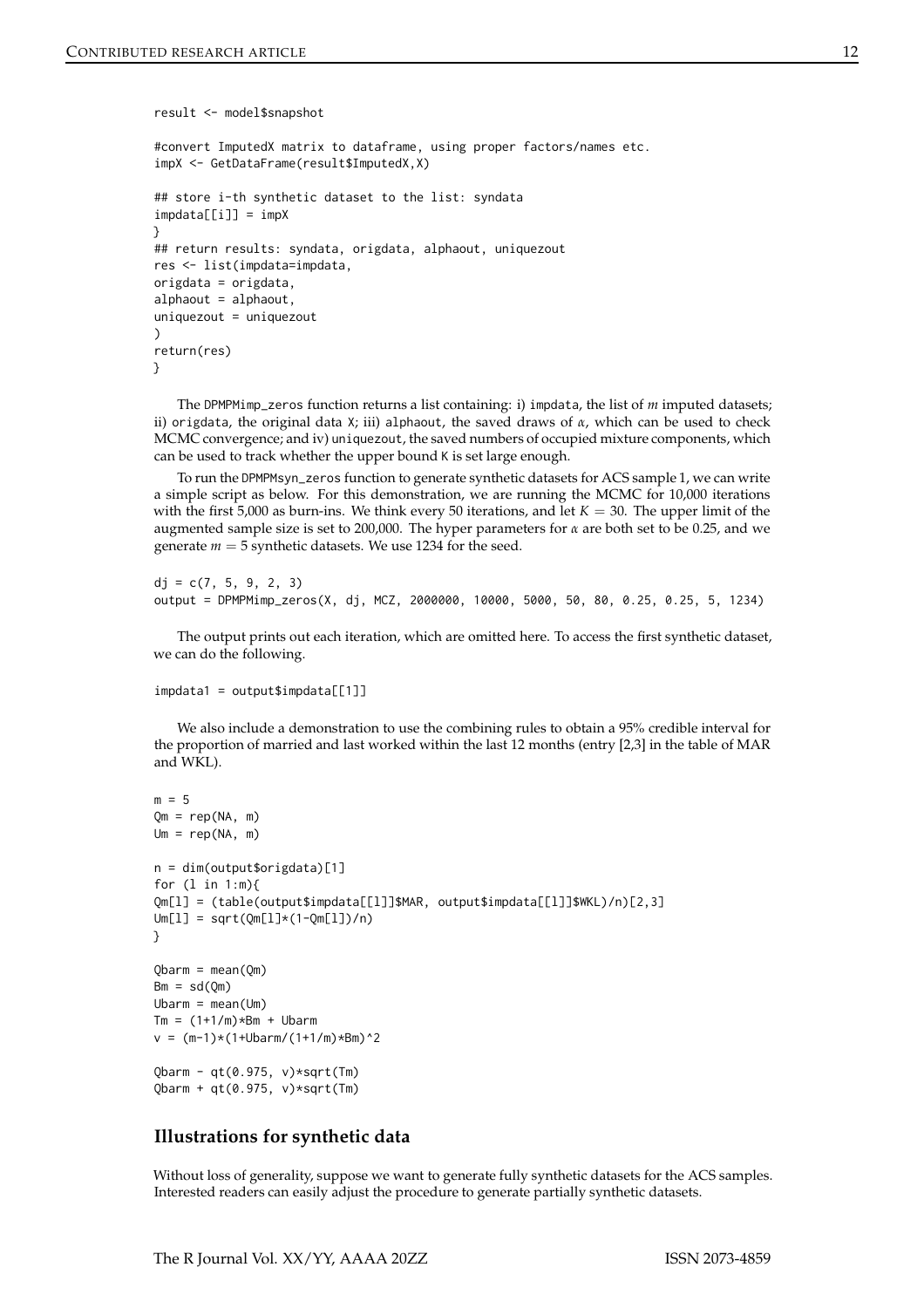#### result <- model\$snapshot

```
#convert ImputedX matrix to dataframe, using proper factors/names etc.
impX <- GetDataFrame(result$ImputedX,X)
## store i-th synthetic dataset to the list: syndata
impdata[[i]] = impX}
## return results: syndata, origdata, alphaout, uniquezout
res <- list(impdata=impdata,
origdata = origdata,
alphaout = alphaout,
uniquezout = uniquezout\lambdareturn(res)
}
```
The DPMPMimp\_zeros function returns a list containing: i) impdata, the list of *m* imputed datasets; ii) origdata, the original data X; iii) alphaout, the saved draws of *α*, which can be used to check MCMC convergence; and iv) uniquezout, the saved numbers of occupied mixture components, which can be used to track whether the upper bound K is set large enough.

To run the DPMPMsyn\_zeros function to generate synthetic datasets for ACS sample 1, we can write a simple script as below. For this demonstration, we are running the MCMC for 10,000 iterations with the first 5,000 as burn-ins. We think every 50 iterations, and let  $K = 30$ . The upper limit of the augmented sample size is set to 200,000. The hyper parameters for *α* are both set to be 0.25, and we generate  $m = 5$  synthetic datasets. We use 1234 for the seed.

```
dj = c(7, 5, 9, 2, 3)output = DPMPMimp_zeros(X, dj, MCZ, 2000000, 10000, 5000, 50, 80, 0.25, 0.25, 5, 1234)
```
The output prints out each iteration, which are omitted here. To access the first synthetic dataset, we can do the following.

```
impdata1 = output$impdata[[1]]
```
We also include a demonstration to use the combining rules to obtain a 95% credible interval for the proportion of married and last worked within the last 12 months (entry [2,3] in the table of MAR and WKL).

```
m = 5Qm = rep(NA, m)
Um = rep(NA, m)
n = dim(output$origdata)[1]
for (l in 1:m){
Qm[l] = (table(output$impdata[[l]]$MAR, output$impdata[[l]]$WKL)/n)[2,3]
Um[1] = sqrt(Qm[1]*(1-Qm[1])/n)}
Qbarm = mean(Qm)Bm = sd(Qm)U\text{barm} = \text{mean}(U\text{m})Tm = (1+1/m) * Bm + Ubarmv = (m-1)*(1+Ubarm/(1+1/m)*Bm)^2Qbarm - qt(0.975, v)*sqrt(Tm)
Qbarm + qt(0.975, v)*sqrt(Tm)
```
# **Illustrations for synthetic data**

Without loss of generality, suppose we want to generate fully synthetic datasets for the ACS samples. Interested readers can easily adjust the procedure to generate partially synthetic datasets.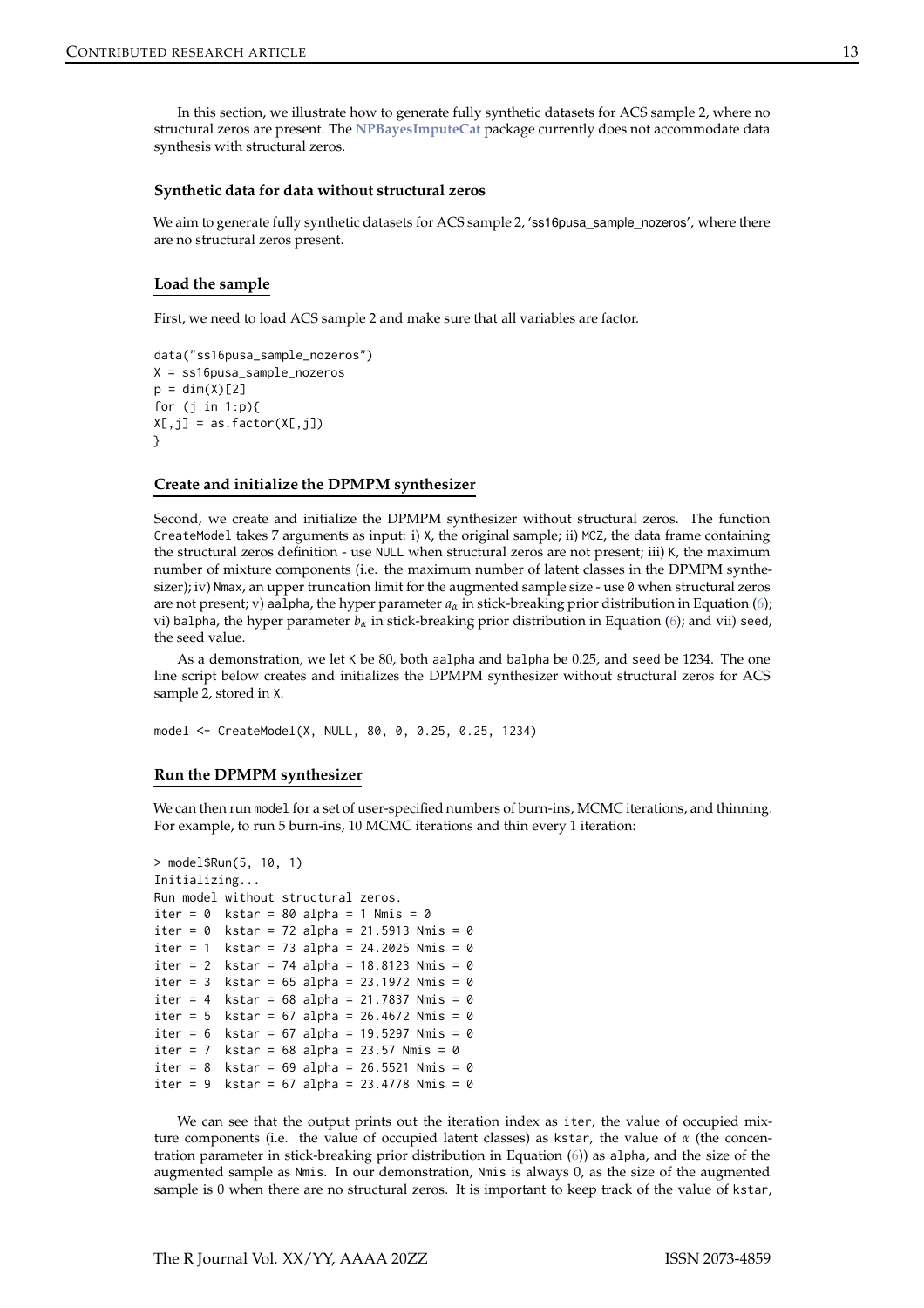In this section, we illustrate how to generate fully synthetic datasets for ACS sample 2, where no structural zeros are present. The **[NPBayesImputeCat](https://CRAN.R-project.org/package=NPBayesImputeCat)** package currently does not accommodate data synthesis with structural zeros.

#### **Synthetic data for data without structural zeros**

We aim to generate fully synthetic datasets for ACS sample 2, 'ss16pusa\_sample\_nozeros', where there are no structural zeros present.

#### **Load the sample**

First, we need to load ACS sample 2 and make sure that all variables are factor.

```
data("ss16pusa_sample_nozeros")
X = ss16pusa_sample_nozeros
p = dim(X)[2]for (j in 1:p){
X[, j] = as.factor(X[, j])}
```
#### **Create and initialize the DPMPM synthesizer**

Second, we create and initialize the DPMPM synthesizer without structural zeros. The function CreateModel takes 7 arguments as input: i) X, the original sample; ii) MCZ, the data frame containing the structural zeros definition - use NULL when structural zeros are not present; iii) K, the maximum number of mixture components (i.e. the maximum number of latent classes in the DPMPM synthesizer); iv) Nmax, an upper truncation limit for the augmented sample size - use 0 when structural zeros are not present; v) aalpha, the hyper parameter *aα* in stick-breaking prior distribution in Equation [\(6\)](#page-2-2); vi) balpha, the hyper parameter  $b_\alpha$  in stick-breaking prior distribution in Equation [\(6\)](#page-2-2); and vii) seed, the seed value.

As a demonstration, we let K be 80, both aalpha and balpha be 0.25, and seed be 1234. The one line script below creates and initializes the DPMPM synthesizer without structural zeros for ACS sample 2, stored in X.

model <- CreateModel(X, NULL, 80, 0, 0.25, 0.25, 1234)

#### **Run the DPMPM synthesizer**

We can then run model for a set of user-specified numbers of burn-ins, MCMC iterations, and thinning. For example, to run 5 burn-ins, 10 MCMC iterations and thin every 1 iteration:

```
> model$Run(5, 10, 1)
Initializing...
Run model without structural zeros.
iter = 0 kstar = 80 alpha = 1 Nmis = 0iter = 0 kstar = 72 alpha = 21.5913 Nmis = 0iter = 1 kstar = 73 alpha = 24.2025 Nmis = 0
iter = 2 kstar = 74 alpha = 18.8123 Nmis = 0
iter = 3 kstar = 65 alpha = 23.1972 Nmis = 0
iter = 4 kstar = 68 alpha = 21.7837 Nmis = 0
iter = 5 kstar = 67 alpha = 26.4672 Nmis = 0
iter = 6 kstar = 67 alpha = 19.5297 Nmis = 0iter = 7 kstar = 68 alpha = 23.57 Nmis = 0
iter = 8 kstar = 69 alpha = 26.5521 Nmis = 0
iter = 9 kstar = 67 alpha = 23.4778 Nmis = 0
```
We can see that the output prints out the iteration index as iter, the value of occupied mixture components (i.e. the value of occupied latent classes) as kstar, the value of *α* (the concentration parameter in stick-breaking prior distribution in Equation [\(6\)](#page-2-2)) as alpha, and the size of the augmented sample as Nmis. In our demonstration, Nmis is always 0, as the size of the augmented sample is 0 when there are no structural zeros. It is important to keep track of the value of kstar,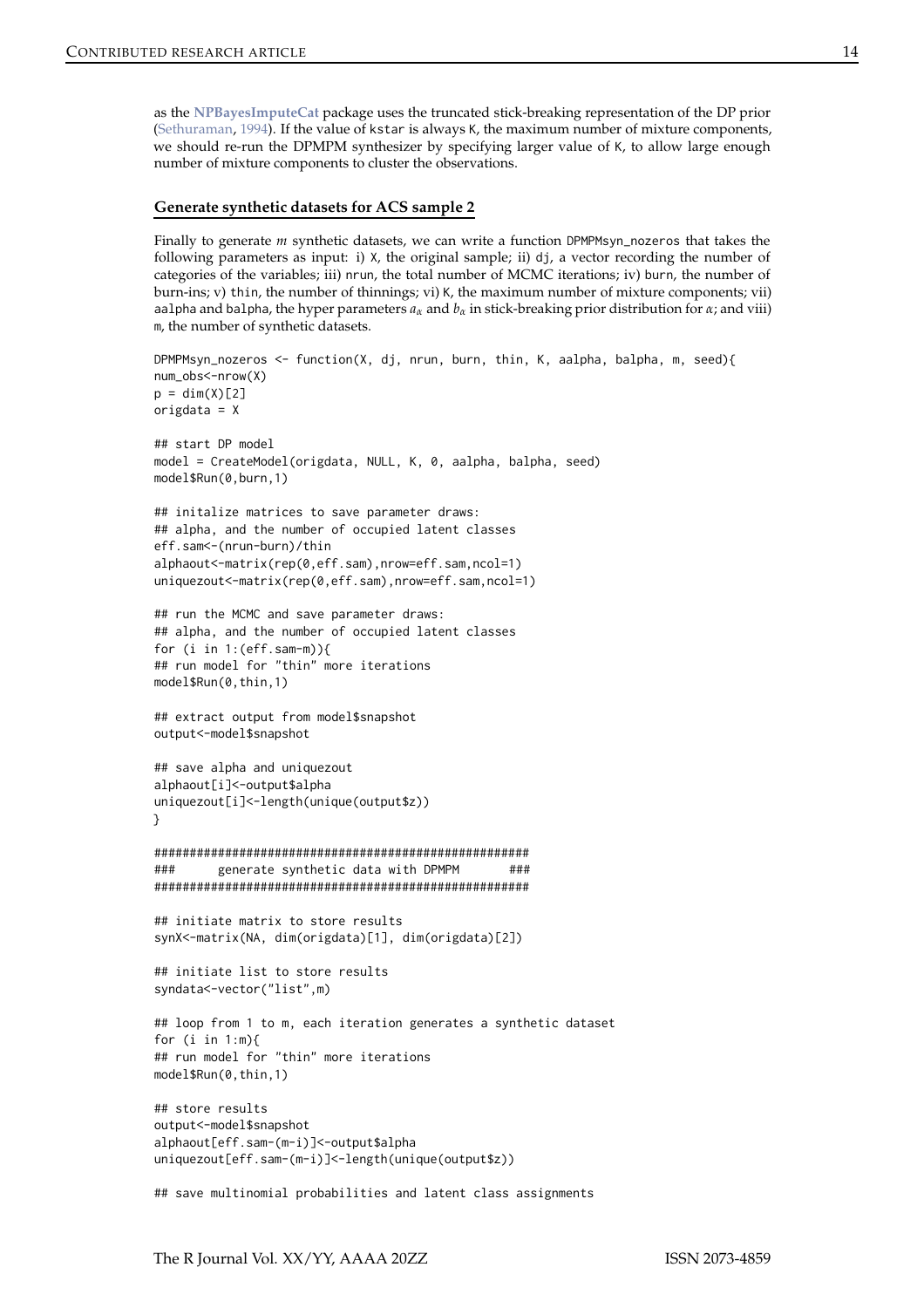<span id="page-13-0"></span>as the **[NPBayesImputeCat](https://CRAN.R-project.org/package=NPBayesImputeCat)** package uses the truncated stick-breaking representation of the DP prior [\(Sethuraman](#page-16-5), [1994](#page-16-5)). If the value of kstar is always K, the maximum number of mixture components, we should re-run the DPMPM synthesizer by specifying larger value of K, to allow large enough number of mixture components to cluster the observations.

# **Generate synthetic datasets for ACS sample 2**

Finally to generate *m* synthetic datasets, we can write a function DPMPMsyn\_nozeros that takes the following parameters as input: i)  $X$ , the original sample; ii) dj, a vector recording the number of categories of the variables; iii) nrun, the total number of MCMC iterations; iv) burn, the number of burn-ins; v) thin, the number of thinnings; vi) K, the maximum number of mixture components; vii) aalpha and balpha, the hyper parameters  $a_\alpha$  and  $b_\alpha$  in stick-breaking prior distribution for  $\alpha$ ; and viii) m, the number of synthetic datasets.

```
DPMPMsyn_nozeros <- function(X, dj, nrun, burn, thin, K, aalpha, balpha, m, seed){
num_obs<-nrow(X)
p = dim(X)[2]origdata = X
## start DP model
model = CreateModel(origdata, NULL, K, 0, aalpha, balpha, seed)
model$Run(0,burn,1)
## initalize matrices to save parameter draws:
## alpha, and the number of occupied latent classes
eff.sam<-(nrun-burn)/thin
alphaout<-matrix(rep(0,eff.sam),nrow=eff.sam,ncol=1)
uniquezout<-matrix(rep(0,eff.sam),nrow=eff.sam,ncol=1)
## run the MCMC and save parameter draws:
## alpha, and the number of occupied latent classes
for (i in 1:(\text{eff}.\text{sam-m})){
## run model for "thin" more iterations
model$Run(0,thin,1)
## extract output from model$snapshot
output<-model$snapshot
## save alpha and uniquezout
alphaout[i]<-output$alpha
uniquezout[i]<-length(unique(output$z))
}
#####################################################
### generate synthetic data with DPMPM ###
#####################################################
## initiate matrix to store results
synX<-matrix(NA, dim(origdata)[1], dim(origdata)[2])
## initiate list to store results
syndata<-vector("list",m)
## loop from 1 to m, each iteration generates a synthetic dataset
for (i in 1:m){
## run model for "thin" more iterations
model$Run(0,thin,1)
## store results
output<-model$snapshot
alphaout[eff.sam-(m-i)]<-output$alpha
uniquezout[eff.sam-(m-i)]<-length(unique(output$z))
```
## save multinomial probabilities and latent class assignments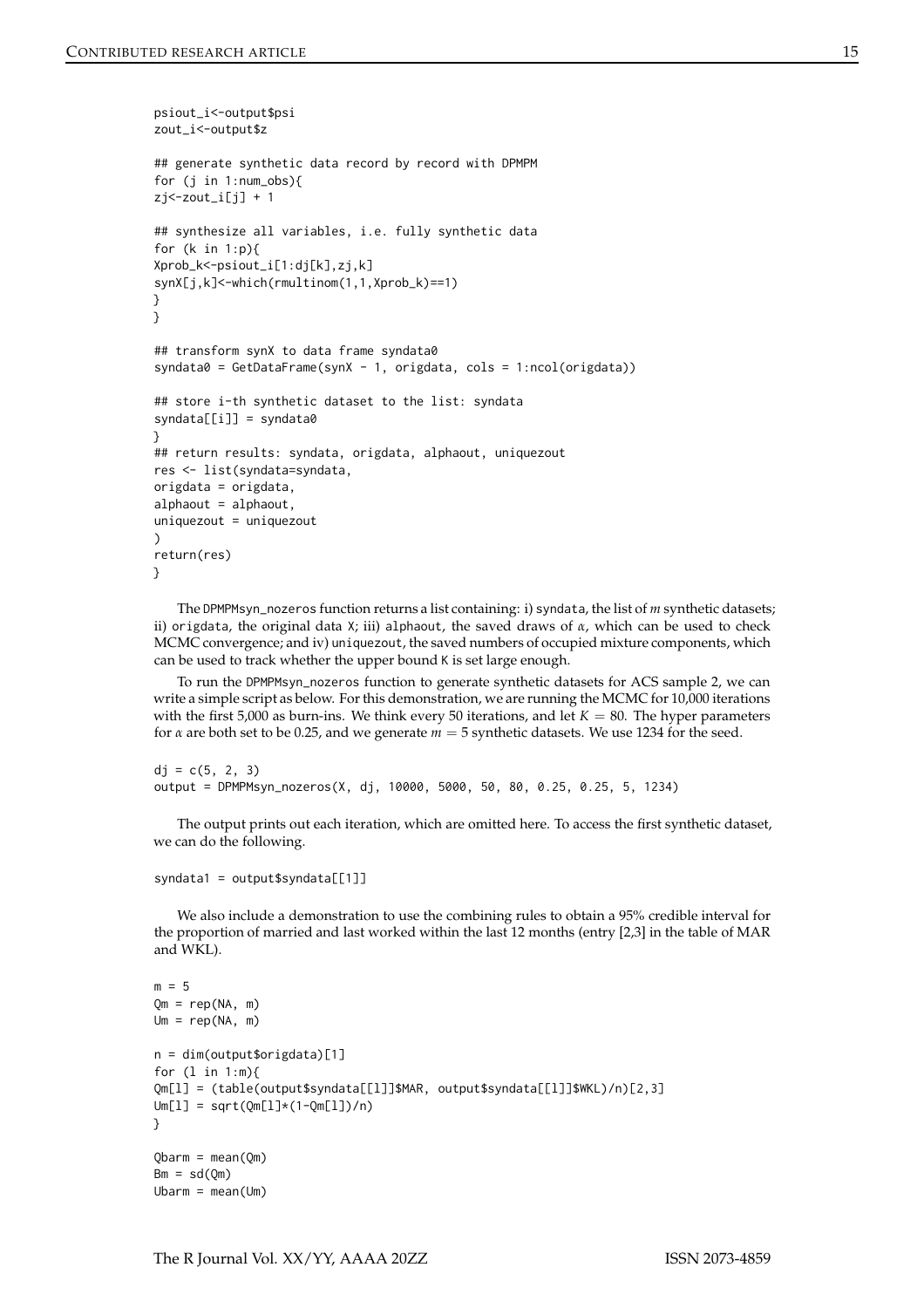```
psiout_i<-output$psi
zout_i<-output$z
## generate synthetic data record by record with DPMPM
for (j in 1:num_obs){
zj < - zout_i[j] + 1
## synthesize all variables, i.e. fully synthetic data
for (k in 1:p){
Xprob_k<-psiout_i[1:dj[k],zj,k]
synX[j,k]<-which(rmultinom(1,1,Xprob_k)==1)
}
}
## transform synX to data frame syndata0
syndata0 = GetDataFrame(synX - 1, origdata, cols = 1:ncol(origdata))
## store i-th synthetic dataset to the list: syndata
svndata[il] = svndata0
}
## return results: syndata, origdata, alphaout, uniquezout
res <- list(syndata=syndata,
origdata = origdata,
alphaout = alphaout,
uniquezout = uniquezout
)
return(res)
}
```
The DPMPMsyn\_nozeros function returns a list containing: i) syndata, the list of *m* synthetic datasets; ii) origdata, the original data X; iii) alphaout, the saved draws of *α*, which can be used to check MCMC convergence; and iv) uniquezout, the saved numbers of occupied mixture components, which can be used to track whether the upper bound K is set large enough.

To run the DPMPMsyn\_nozeros function to generate synthetic datasets for ACS sample 2, we can write a simple script as below. For this demonstration, we are running the MCMC for 10,000 iterations with the first  $5,000$  as burn-ins. We think every 50 iterations, and let  $K = 80$ . The hyper parameters for *α* are both set to be 0.25, and we generate *m* = 5 synthetic datasets. We use 1234 for the seed.

```
dj = c(5, 2, 3)output = DPMPMsyn_nozeros(X, dj, 10000, 5000, 50, 80, 0.25, 0.25, 5, 1234)
```
The output prints out each iteration, which are omitted here. To access the first synthetic dataset, we can do the following.

```
syndata1 = output$syndata[[1]]
```
We also include a demonstration to use the combining rules to obtain a 95% credible interval for the proportion of married and last worked within the last 12 months (entry [2,3] in the table of MAR and WKL).

```
m = 5Qm = rep(NA, m)Um = rep(NA, m)n = dim(output$origdata)[1]
for (l in 1:m){
Qm[l] = (table(output$syndata[[l]]$MAR, output$syndata[[l]]$WKL)/n)[2,3]
Um[1] = sqrt(Qm[1]*(1-Qm[1])/n)}
Qbarm = mean(Qm)Bm = sd(0m)Ubarm = mean(Um)
```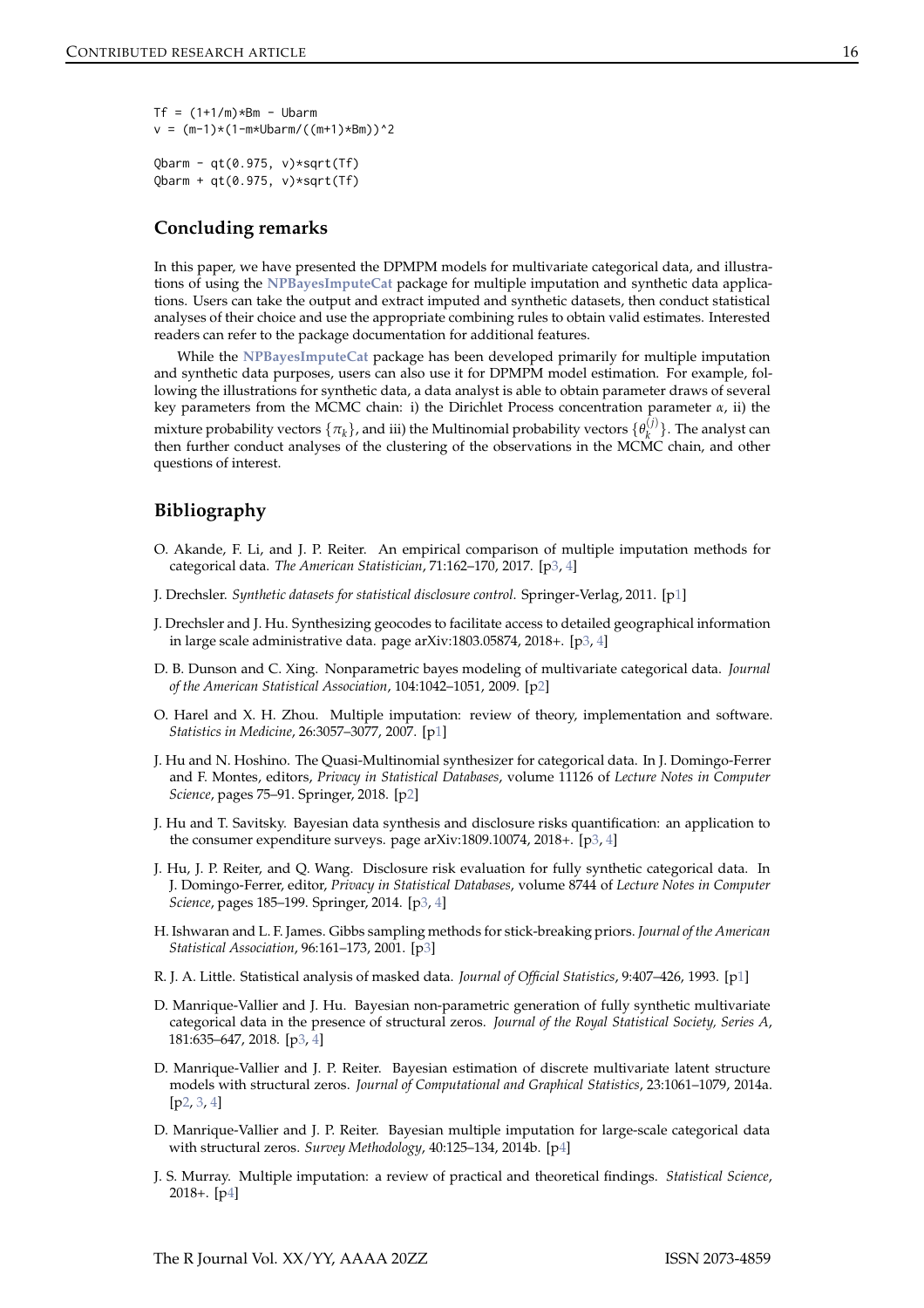```
Tf = (1+1/m) * Bm - Ubarmv = (m-1)*(1-m*Ubarm/((m+1)*Bm))^2Qbarm - qt(0.975, v)*sqrt(Tf)Qbarm + qt(0.975, v)*sqrt(Tf)
```
# **Concluding remarks**

In this paper, we have presented the DPMPM models for multivariate categorical data, and illustrations of using the **[NPBayesImputeCat](https://CRAN.R-project.org/package=NPBayesImputeCat)** package for multiple imputation and synthetic data applications. Users can take the output and extract imputed and synthetic datasets, then conduct statistical analyses of their choice and use the appropriate combining rules to obtain valid estimates. Interested readers can refer to the package documentation for additional features.

While the **[NPBayesImputeCat](https://CRAN.R-project.org/package=NPBayesImputeCat)** package has been developed primarily for multiple imputation and synthetic data purposes, users can also use it for DPMPM model estimation. For example, following the illustrations for synthetic data, a data analyst is able to obtain parameter draws of several key parameters from the MCMC chain: i) the Dirichlet Process concentration parameter *α*, ii) the mixture probability vectors  $\{\pi_k\}$ , and iii) the Multinomial probability vectors  $\{\theta_k^{(j)}\}$ *k* }. The analyst can then further conduct analyses of the clustering of the observations in the MCMC chain, and other questions of interest.

# **Bibliography**

- <span id="page-15-7"></span>O. Akande, F. Li, and J. P. Reiter. An empirical comparison of multiple imputation methods for categorical data. *The American Statistician*, 71:162–170, 2017. [[p3,](#page-2-4) [4\]](#page-3-0)
- <span id="page-15-2"></span>J. Drechsler. *Synthetic datasets for statistical disclosure control*. Springer-Verlag, 2011. [[p1\]](#page-0-0)
- <span id="page-15-10"></span>J. Drechsler and J. Hu. Synthesizing geocodes to facilitate access to detailed geographical information in large scale administrative data. page arXiv:1803.05874, 2018+. [[p3,](#page-2-4) [4\]](#page-3-0)
- <span id="page-15-3"></span>D. B. Dunson and C. Xing. Nonparametric bayes modeling of multivariate categorical data. *Journal of the American Statistical Association*, 104:1042–1051, 2009. [[p2\]](#page-1-0)
- <span id="page-15-0"></span>O. Harel and X. H. Zhou. Multiple imputation: review of theory, implementation and software. *Statistics in Medicine*, 26:3057–3077, 2007. [[p1\]](#page-0-0)
- <span id="page-15-5"></span>J. Hu and N. Hoshino. The Quasi-Multinomial synthesizer for categorical data. In J. Domingo-Ferrer and F. Montes, editors, *Privacy in Statistical Databases*, volume 11126 of *Lecture Notes in Computer Science*, pages 75–91. Springer, 2018. [[p2\]](#page-1-0)
- <span id="page-15-11"></span>J. Hu and T. Savitsky. Bayesian data synthesis and disclosure risks quantification: an application to the consumer expenditure surveys. page arXiv:1809.10074, 2018+. [[p3,](#page-2-4) [4\]](#page-3-0)
- <span id="page-15-6"></span>J. Hu, J. P. Reiter, and Q. Wang. Disclosure risk evaluation for fully synthetic categorical data. In J. Domingo-Ferrer, editor, *Privacy in Statistical Databases*, volume 8744 of *Lecture Notes in Computer Science*, pages 185–199. Springer, 2014. [[p3,](#page-2-4) [4\]](#page-3-0)
- <span id="page-15-8"></span>H. Ishwaran and L. F. James. Gibbs sampling methods for stick-breaking priors. *Journal of the American Statistical Association*, 96:161–173, 2001. [[p3\]](#page-2-4)
- <span id="page-15-1"></span>R. J. A. Little. Statistical analysis of masked data. *Journal of Official Statistics*, 9:407–426, 1993. [[p1\]](#page-0-0)
- <span id="page-15-9"></span>D. Manrique-Vallier and J. Hu. Bayesian non-parametric generation of fully synthetic multivariate categorical data in the presence of structural zeros. *Journal of the Royal Statistical Society, Series A*, 181:635–647, 2018. [[p3,](#page-2-4) [4\]](#page-3-0)
- <span id="page-15-4"></span>D. Manrique-Vallier and J. P. Reiter. Bayesian estimation of discrete multivariate latent structure models with structural zeros. *Journal of Computational and Graphical Statistics*, 23:1061–1079, 2014a. [[p2,](#page-1-0) [3,](#page-2-4) [4\]](#page-3-0)
- <span id="page-15-12"></span>D. Manrique-Vallier and J. P. Reiter. Bayesian multiple imputation for large-scale categorical data with structural zeros. *Survey Methodology*, 40:125–134, 2014b. [[p4\]](#page-3-0)
- <span id="page-15-13"></span>J. S. Murray. Multiple imputation: a review of practical and theoretical findings. *Statistical Science*, 2018+. [[p4\]](#page-3-0)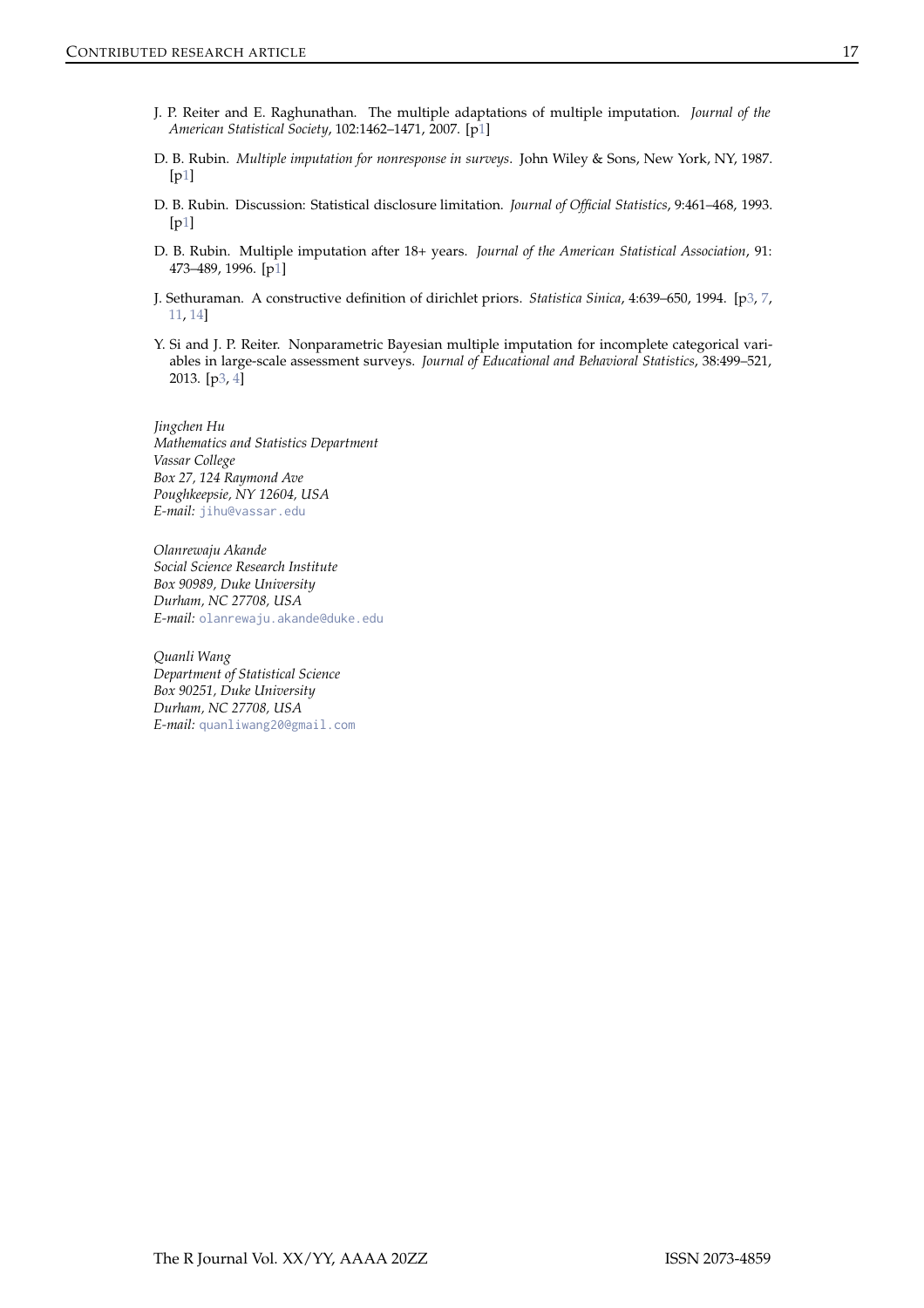- <span id="page-16-2"></span>J. P. Reiter and E. Raghunathan. The multiple adaptations of multiple imputation. *Journal of the American Statistical Society*, 102:1462–1471, 2007. [[p1\]](#page-0-0)
- <span id="page-16-0"></span>D. B. Rubin. *Multiple imputation for nonresponse in surveys*. John Wiley & Sons, New York, NY, 1987. [[p1\]](#page-0-0)
- <span id="page-16-3"></span>D. B. Rubin. Discussion: Statistical disclosure limitation. *Journal of Official Statistics*, 9:461–468, 1993. [[p1\]](#page-0-0)
- <span id="page-16-1"></span>D. B. Rubin. Multiple imputation after 18+ years. *Journal of the American Statistical Association*, 91: 473–489, 1996. [[p1\]](#page-0-0)
- <span id="page-16-5"></span>J. Sethuraman. A constructive definition of dirichlet priors. *Statistica Sinica*, 4:639–650, 1994. [[p3,](#page-2-4) [7,](#page-6-0) [11,](#page-10-0) [14\]](#page-13-0)
- <span id="page-16-4"></span>Y. Si and J. P. Reiter. Nonparametric Bayesian multiple imputation for incomplete categorical variables in large-scale assessment surveys. *Journal of Educational and Behavioral Statistics*, 38:499–521, 2013. [[p3,](#page-2-4) [4\]](#page-3-0)

*Jingchen Hu Mathematics and Statistics Department Vassar College Box 27, 124 Raymond Ave Poughkeepsie, NY 12604, USA E-mail:* [jihu@vassar.edu](mailto:jihu@vassar.edu)

*Olanrewaju Akande Social Science Research Institute Box 90989, Duke University Durham, NC 27708, USA E-mail:* [olanrewaju.akande@duke.edu](mailto:olanrewaju.akande@duke.edu)

*Quanli Wang Department of Statistical Science Box 90251, Duke University Durham, NC 27708, USA E-mail:* [quanliwang20@gmail.com](mailto:quanliwang20@gmail.com)